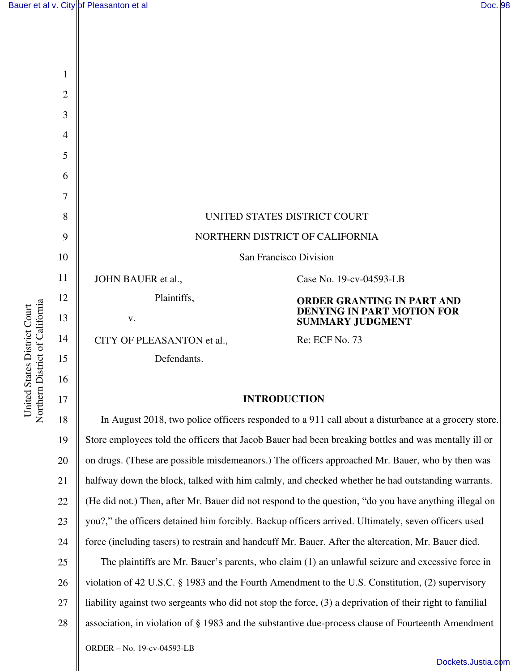

#### **INTRODUCTION**

18 19 20 21 22 23 24 25 26 27 28 In August 2018, two police officers responded to a 911 call about a disturbance at a grocery store. Store employees told the officers that Jacob Bauer had been breaking bottles and was mentally ill or on drugs. (These are possible misdemeanors.) The officers approached Mr. Bauer, who by then was halfway down the block, talked with him calmly, and checked whether he had outstanding warrants. (He did not.) Then, after Mr. Bauer did not respond to the question, "do you have anything illegal on you?," the officers detained him forcibly. Backup officers arrived. Ultimately, seven officers used force (including tasers) to restrain and handcuff Mr. Bauer. After the altercation, Mr. Bauer died. The plaintiffs are Mr. Bauer's parents, who claim (1) an unlawful seizure and excessive force in violation of 42 U.S.C. § 1983 and the Fourth Amendment to the U.S. Constitution, (2) supervisory liability against two sergeants who did not stop the force, (3) a deprivation of their right to familial association, in violation of § 1983 and the substantive due-process clause of Fourteenth Amendment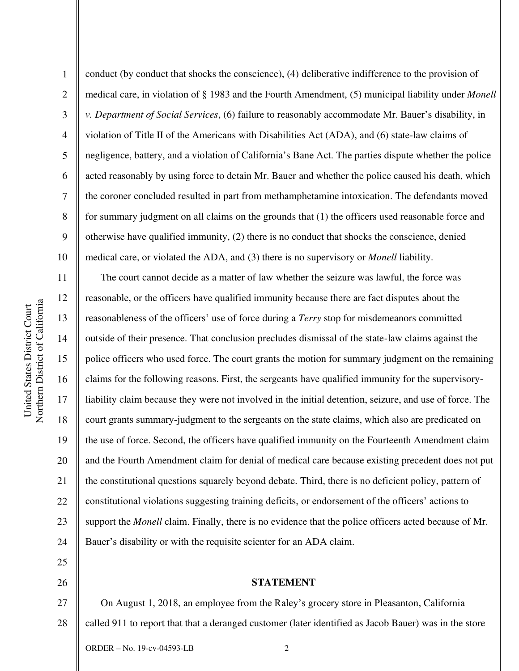2

3

4

5

6

7

8

9

10

17

18

25

26

conduct (by conduct that shocks the conscience), (4) deliberative indifference to the provision of medical care, in violation of § 1983 and the Fourth Amendment, (5) municipal liability under *Monell v. Department of Social Services*, (6) failure to reasonably accommodate Mr. Bauer's disability, in violation of Title II of the Americans with Disabilities Act (ADA), and (6) state-law claims of negligence, battery, and a violation of California's Bane Act. The parties dispute whether the police acted reasonably by using force to detain Mr. Bauer and whether the police caused his death, which the coroner concluded resulted in part from methamphetamine intoxication. The defendants moved for summary judgment on all claims on the grounds that (1) the officers used reasonable force and otherwise have qualified immunity, (2) there is no conduct that shocks the conscience, denied medical care, or violated the ADA, and (3) there is no supervisory or *Monell* liability.

11 12 13 14 15 16 19 20 21 22 23 24 The court cannot decide as a matter of law whether the seizure was lawful, the force was reasonable, or the officers have qualified immunity because there are fact disputes about the reasonableness of the officers' use of force during a *Terry* stop for misdemeanors committed outside of their presence. That conclusion precludes dismissal of the state-law claims against the police officers who used force. The court grants the motion for summary judgment on the remaining claims for the following reasons. First, the sergeants have qualified immunity for the supervisoryliability claim because they were not involved in the initial detention, seizure, and use of force. The court grants summary-judgment to the sergeants on the state claims, which also are predicated on the use of force. Second, the officers have qualified immunity on the Fourteenth Amendment claim and the Fourth Amendment claim for denial of medical care because existing precedent does not put the constitutional questions squarely beyond debate. Third, there is no deficient policy, pattern of constitutional violations suggesting training deficits, or endorsement of the officers' actions to support the *Monell* claim. Finally, there is no evidence that the police officers acted because of Mr. Bauer's disability or with the requisite scienter for an ADA claim.

### **STATEMENT**

27 28 On August 1, 2018, an employee from the Raley's grocery store in Pleasanton, California called 911 to report that that a deranged customer (later identified as Jacob Bauer) was in the store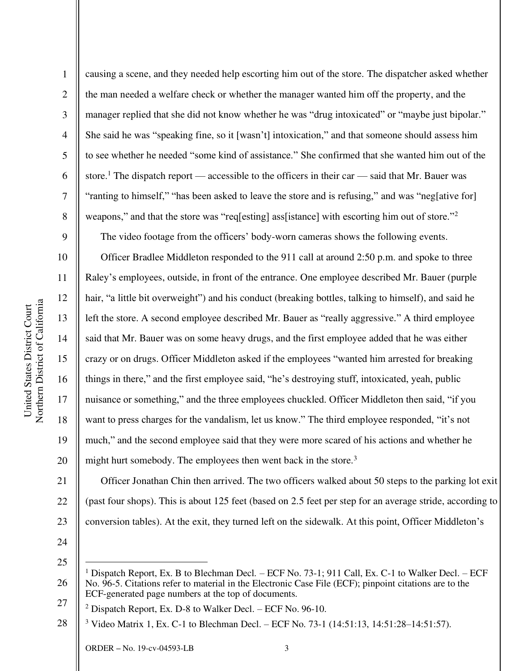10

11

12

13

14

15

16

17

18

19

20

1 2 3 4 5 6 7 8 causing a scene, and they needed help escorting him out of the store. The dispatcher asked whether the man needed a welfare check or whether the manager wanted him off the property, and the manager replied that she did not know whether he was "drug intoxicated" or "maybe just bipolar." She said he was "speaking fine, so it [wasn't] intoxication," and that someone should assess him to see whether he needed "some kind of assistance." She confirmed that she wanted him out of the store.<sup>1</sup> The dispatch report — accessible to the officers in their car — said that Mr. Bauer was "ranting to himself," "has been asked to leave the store and is refusing," and was "neg[ative for] weapons," and that the store was "req[esting] ass[istance] with escorting him out of store."<sup>2</sup>

The video footage from the officers' body-worn cameras shows the following events.

Officer Bradlee Middleton responded to the 911 call at around 2:50 p.m. and spoke to three Raley's employees, outside, in front of the entrance. One employee described Mr. Bauer (purple hair, "a little bit overweight") and his conduct (breaking bottles, talking to himself), and said he left the store. A second employee described Mr. Bauer as "really aggressive." A third employee said that Mr. Bauer was on some heavy drugs, and the first employee added that he was either crazy or on drugs. Officer Middleton asked if the employees "wanted him arrested for breaking things in there," and the first employee said, "he's destroying stuff, intoxicated, yeah, public nuisance or something," and the three employees chuckled. Officer Middleton then said, "if you want to press charges for the vandalism, let us know." The third employee responded, "it's not much," and the second employee said that they were more scared of his actions and whether he might hurt somebody. The employees then went back in the store.<sup>3</sup>

21 22 23 Officer Jonathan Chin then arrived. The two officers walked about 50 steps to the parking lot exit (past four shops). This is about 125 feet (based on 2.5 feet per step for an average stride, according to conversion tables). At the exit, they turned left on the sidewalk. At this point, Officer Middleton's

24

<sup>26</sup>  27 1 Dispatch Report, Ex. B to Blechman Decl*. –* ECF No. 73-1; 911 Call, Ex. C-1 to Walker Decl. *–* ECF No. 96-5. Citations refer to material in the Electronic Case File (ECF); pinpoint citations are to the ECF-generated page numbers at the top of documents.

<sup>2</sup> Dispatch Report, Ex. D-8 to Walker Decl. *–* ECF No. 96-10.

<sup>28</sup>  3 Video Matrix 1, Ex. C-1 to Blechman Decl. *–* ECF No. 73-1 (14:51:13, 14:51:28–14:51:57).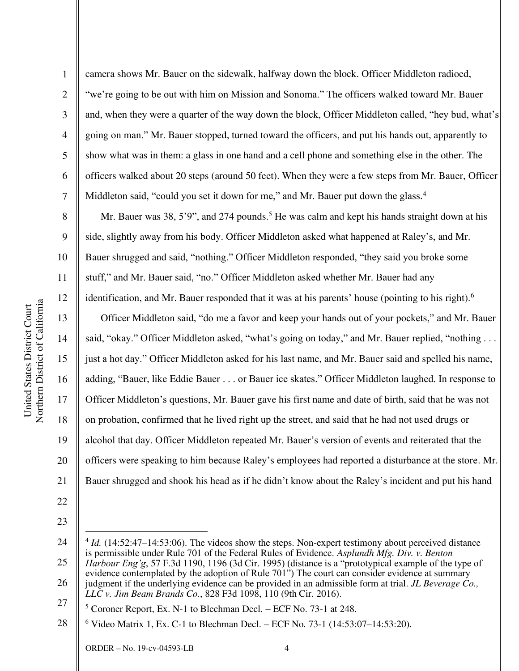9

10

11

12

13

14

15

16

17

18

19

20

21

1 2 3 4 5 6 7 camera shows Mr. Bauer on the sidewalk, halfway down the block. Officer Middleton radioed, "we're going to be out with him on Mission and Sonoma." The officers walked toward Mr. Bauer and, when they were a quarter of the way down the block, Officer Middleton called, "hey bud, what's going on man." Mr. Bauer stopped, turned toward the officers, and put his hands out, apparently to show what was in them: a glass in one hand and a cell phone and something else in the other. The officers walked about 20 steps (around 50 feet). When they were a few steps from Mr. Bauer, Officer Middleton said, "could you set it down for me," and Mr. Bauer put down the glass.<sup>4</sup>

Mr. Bauer was 38, 5'9", and 274 pounds.<sup>5</sup> He was calm and kept his hands straight down at his side, slightly away from his body. Officer Middleton asked what happened at Raley's, and Mr. Bauer shrugged and said, "nothing." Officer Middleton responded, "they said you broke some stuff," and Mr. Bauer said, "no." Officer Middleton asked whether Mr. Bauer had any identification, and Mr. Bauer responded that it was at his parents' house (pointing to his right).<sup>6</sup>

Officer Middleton said, "do me a favor and keep your hands out of your pockets," and Mr. Bauer said, "okay." Officer Middleton asked, "what's going on today," and Mr. Bauer replied, "nothing ... just a hot day." Officer Middleton asked for his last name, and Mr. Bauer said and spelled his name, adding, "Bauer, like Eddie Bauer . . . or Bauer ice skates." Officer Middleton laughed. In response to Officer Middleton's questions, Mr. Bauer gave his first name and date of birth, said that he was not on probation, confirmed that he lived right up the street, and said that he had not used drugs or alcohol that day. Officer Middleton repeated Mr. Bauer's version of events and reiterated that the officers were speaking to him because Raley's employees had reported a disturbance at the store. Mr. Bauer shrugged and shook his head as if he didn't know about the Raley's incident and put his hand

<sup>24</sup>  25 <sup>4</sup> *Id.* (14:52:47–14:53:06). The videos show the steps. Non-expert testimony about perceived distance is permissible under Rule 701 of the Federal Rules of Evidence. *Asplundh Mfg. Div. v. Benton Harbour Eng'g*, 57 F.3d 1190, 1196 (3d Cir. 1995) (distance is a "prototypical example of the type of evidence contemplated by the adoption of Rule  $701$ ") The court can consider evidence at summary

<sup>26</sup>  27 judgment if the underlying evidence can be provided in an admissible form at trial. *JL Beverage Co., LLC v. Jim Beam Brands Co.*, 828 F3d 1098, 110 (9th Cir. 2016).

<sup>5</sup> Coroner Report, Ex. N-1 to Blechman Decl. *–* ECF No. 73-1 at 248.

<sup>28</sup>  6 Video Matrix 1, Ex. C-1 to Blechman Decl. *–* ECF No. 73-1 (14:53:07–14:53:20).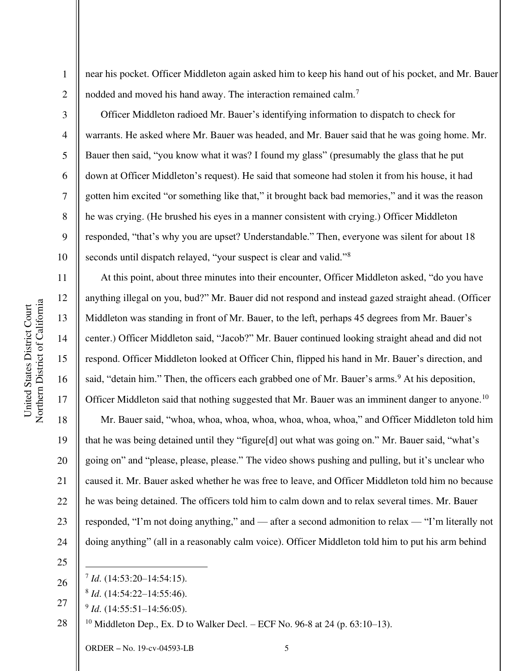2

3

4

5

6

7

8

9

10

11

12

13

14

15

16

17

18

19

20

21

23

near his pocket. Officer Middleton again asked him to keep his hand out of his pocket, and Mr. Bauer nodded and moved his hand away. The interaction remained calm.<sup>7</sup>

Officer Middleton radioed Mr. Bauer's identifying information to dispatch to check for warrants. He asked where Mr. Bauer was headed, and Mr. Bauer said that he was going home. Mr. Bauer then said, "you know what it was? I found my glass" (presumably the glass that he put down at Officer Middleton's request). He said that someone had stolen it from his house, it had gotten him excited "or something like that," it brought back bad memories," and it was the reason he was crying. (He brushed his eyes in a manner consistent with crying.) Officer Middleton responded, "that's why you are upset? Understandable." Then, everyone was silent for about 18 seconds until dispatch relayed, "your suspect is clear and valid."<sup>8</sup>

At this point, about three minutes into their encounter, Officer Middleton asked, "do you have anything illegal on you, bud?" Mr. Bauer did not respond and instead gazed straight ahead. (Officer Middleton was standing in front of Mr. Bauer, to the left, perhaps 45 degrees from Mr. Bauer's center.) Officer Middleton said, "Jacob?" Mr. Bauer continued looking straight ahead and did not respond. Officer Middleton looked at Officer Chin, flipped his hand in Mr. Bauer's direction, and said, "detain him." Then, the officers each grabbed one of Mr. Bauer's arms.<sup>9</sup> At his deposition, Officer Middleton said that nothing suggested that Mr. Bauer was an imminent danger to anyone.<sup>10</sup>

22 24 Mr. Bauer said, "whoa, whoa, whoa, whoa, whoa, whoa, whoa," and Officer Middleton told him that he was being detained until they "figure[d] out what was going on." Mr. Bauer said, "what's going on" and "please, please, please." The video shows pushing and pulling, but it's unclear who caused it. Mr. Bauer asked whether he was free to leave, and Officer Middleton told him no because he was being detained. The officers told him to calm down and to relax several times. Mr. Bauer responded, "I'm not doing anything," and — after a second admonition to relax — "I'm literally not doing anything" (all in a reasonably calm voice). Officer Middleton told him to put his arm behind

28 <sup>10</sup> Middleton Dep., Ex. D to Walker Decl. – ECF No. 96-8 at 24 (p. 63:10–13).

<sup>25</sup>  26

<sup>7</sup> *Id*. (14:53:20–14:54:15).

<sup>8</sup> *Id*. (14:54:22–14:55:46).

<sup>27</sup>  9 *Id*. (14:55:51–14:56:05).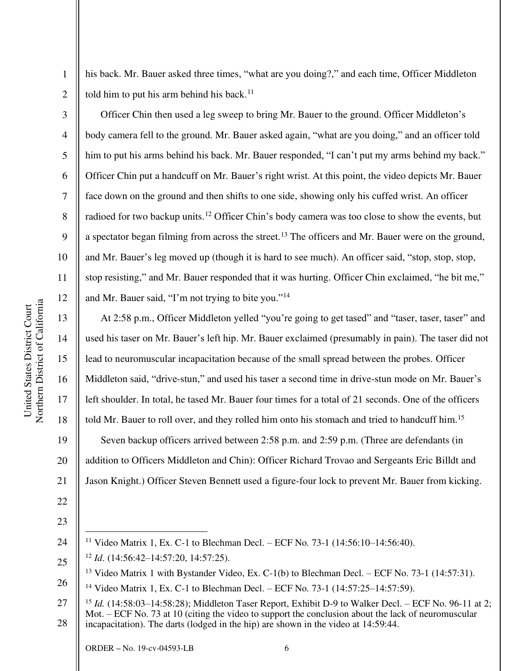Northern District of California Northern District of California United States District Court United States District Court

1

2

3

4

5

6

7

8

9

10

11

12

13

14

15

16

17

18

19

22

23

25

his back. Mr. Bauer asked three times, "what are you doing?," and each time, Officer Middleton told him to put his arm behind his back.<sup>11</sup>

Officer Chin then used a leg sweep to bring Mr. Bauer to the ground. Officer Middleton's body camera fell to the ground. Mr. Bauer asked again, "what are you doing," and an officer told him to put his arms behind his back. Mr. Bauer responded, "I can't put my arms behind my back." Officer Chin put a handcuff on Mr. Bauer's right wrist. At this point, the video depicts Mr. Bauer face down on the ground and then shifts to one side, showing only his cuffed wrist. An officer radioed for two backup units.<sup>12</sup> Officer Chin's body camera was too close to show the events, but a spectator began filming from across the street.<sup>13</sup> The officers and Mr. Bauer were on the ground, and Mr. Bauer's leg moved up (though it is hard to see much). An officer said, "stop, stop, stop, stop resisting," and Mr. Bauer responded that it was hurting. Officer Chin exclaimed, "he bit me," and Mr. Bauer said, "I'm not trying to bite you."<sup>14</sup>

At 2:58 p.m., Officer Middleton yelled "you're going to get tased" and "taser, taser, taser" and used his taser on Mr. Bauer's left hip. Mr. Bauer exclaimed (presumably in pain). The taser did not lead to neuromuscular incapacitation because of the small spread between the probes. Officer Middleton said, "drive-stun," and used his taser a second time in drive-stun mode on Mr. Bauer's left shoulder. In total, he tased Mr. Bauer four times for a total of 21 seconds. One of the officers told Mr. Bauer to roll over, and they rolled him onto his stomach and tried to handcuff him.<sup>15</sup> Seven backup officers arrived between 2:58 p.m. and 2:59 p.m. (Three are defendants (in

20 addition to Officers Middleton and Chin): Officer Richard Trovao and Sergeants Eric Billdt and

21 Jason Knight.) Officer Steven Bennett used a figure-four lock to prevent Mr. Bauer from kicking.

26 <sup>14</sup> Video Matrix 1, Ex. C-1 to Blechman Decl. *–* ECF No. 73-1 (14:57:25–14:57:59).

<sup>24</sup>  <sup>11</sup> Video Matrix 1, Ex. C-1 to Blechman Decl. *–* ECF No. 73-1 (14:56:10–14:56:40).

<sup>12</sup> *Id*. (14:56:42–14:57:20, 14:57:25).

<sup>&</sup>lt;sup>13</sup> Video Matrix 1 with Bystander Video, Ex. C-1(b) to Blechman Decl. – ECF No. 73-1 (14:57:31).

<sup>27</sup>  28 <sup>15</sup> *Id.* (14:58:03–14:58:28); Middleton Taser Report, Exhibit D-9 to Walker Decl. – ECF No. 96-11 at 2; Mot. – ECF No. 73 at 10 (citing the video to support the conclusion about the lack of neuromuscular incapacitation). The darts (lodged in the hip) are shown in the video at 14:59:44.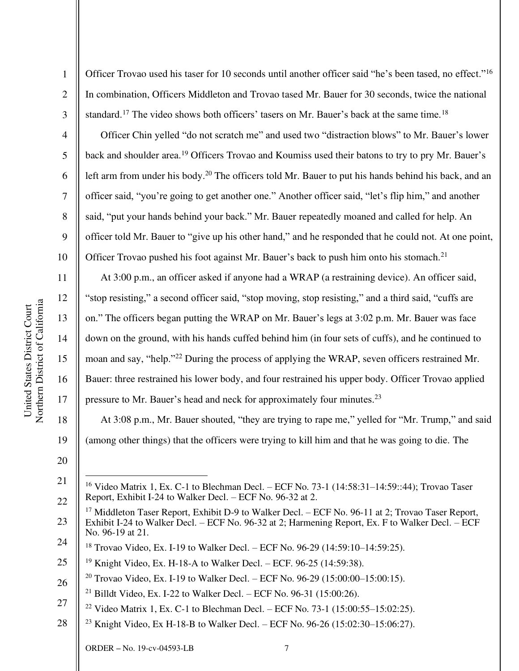Officer Trovao used his taser for 10 seconds until another officer said "he's been tased, no effect."<sup>16</sup> In combination, Officers Middleton and Trovao tased Mr. Bauer for 30 seconds, twice the national standard.<sup>17</sup> The video shows both officers' tasers on Mr. Bauer's back at the same time.<sup>18</sup>

Officer Chin yelled "do not scratch me" and used two "distraction blows" to Mr. Bauer's lower back and shoulder area.<sup>19</sup> Officers Trovao and Koumiss used their batons to try to pry Mr. Bauer's left arm from under his body.<sup>20</sup> The officers told Mr. Bauer to put his hands behind his back, and an officer said, "you're going to get another one." Another officer said, "let's flip him," and another said, "put your hands behind your back." Mr. Bauer repeatedly moaned and called for help. An officer told Mr. Bauer to "give up his other hand," and he responded that he could not. At one point, Officer Trovao pushed his foot against Mr. Bauer's back to push him onto his stomach.<sup>21</sup>

At 3:00 p.m., an officer asked if anyone had a WRAP (a restraining device). An officer said, "stop resisting," a second officer said, "stop moving, stop resisting," and a third said, "cuffs are on." The officers began putting the WRAP on Mr. Bauer's legs at 3:02 p.m. Mr. Bauer was face down on the ground, with his hands cuffed behind him (in four sets of cuffs), and he continued to moan and say, "help."<sup>22</sup> During the process of applying the WRAP, seven officers restrained Mr. Bauer: three restrained his lower body, and four restrained his upper body. Officer Trovao applied pressure to Mr. Bauer's head and neck for approximately four minutes.<sup>23</sup>

At 3:08 p.m., Mr. Bauer shouted, "they are trying to rape me," yelled for "Mr. Trump," and said (among other things) that the officers were trying to kill him and that he was going to die. The

1

2

3

4

5

6

7

8

9

10

11

12

13

14

15

16

17

18

<sup>20</sup> 

<sup>21</sup>  22 <sup>16</sup> Video Matrix 1, Ex. C-1 to Blechman Decl. – ECF No. 73-1 (14:58:31–14:59::44); Trovao Taser Report, Exhibit I-24 to Walker Decl. – ECF No. 96-32 at 2.

<sup>23</sup>  24 <sup>17</sup> Middleton Taser Report, Exhibit D-9 to Walker Decl. – ECF No. 96-11 at 2; Trovao Taser Report, Exhibit I-24 to Walker Decl. – ECF No. 96-32 at 2; Harmening Report, Ex. F to Walker Decl. – ECF No. 96-19 at 21.

<sup>18</sup> Trovao Video, Ex. I-19 to Walker Decl. – ECF No. 96-29 (14:59:10–14:59:25).

<sup>25</sup>  <sup>19</sup> Knight Video, Ex. H-18-A to Walker Decl. – ECF. 96-25 (14:59:38).

<sup>26</sup>  <sup>20</sup> Trovao Video, Ex. I-19 to Walker Decl. – ECF No. 96-29 (15:00:00–15:00:15).

<sup>&</sup>lt;sup>21</sup> Billdt Video, Ex. I-22 to Walker Decl. – ECF No. 96-31 (15:00:26).

<sup>27</sup>  <sup>22</sup> Video Matrix 1, Ex. C-1 to Blechman Decl. – ECF No. 73-1 (15:00:55–15:02:25).

<sup>28</sup>  <sup>23</sup> Knight Video, Ex H-18-B to Walker Decl. – ECF No. 96-26 (15:02:30–15:06:27).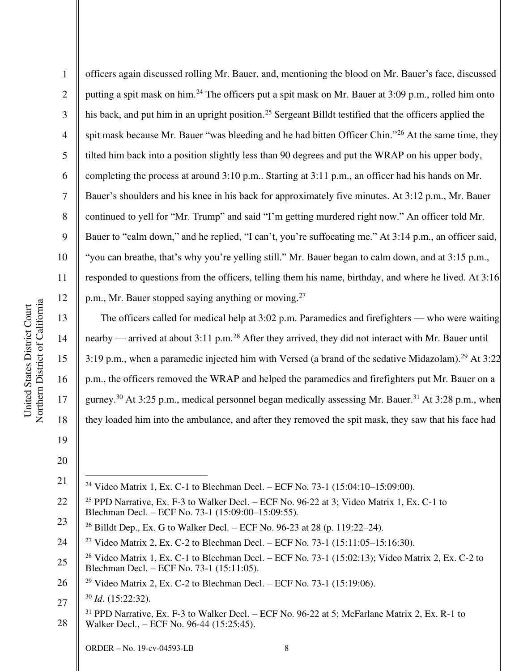1 2 3 4 5 6 7 8 9 10 11 12 officers again discussed rolling Mr. Bauer, and, mentioning the blood on Mr. Bauer's face, discussed putting a spit mask on him.<sup>24</sup> The officers put a spit mask on Mr. Bauer at 3:09 p.m., rolled him onto his back, and put him in an upright position.<sup>25</sup> Sergeant Billdt testified that the officers applied the spit mask because Mr. Bauer "was bleeding and he had bitten Officer Chin."<sup>26</sup> At the same time, they tilted him back into a position slightly less than 90 degrees and put the WRAP on his upper body, completing the process at around 3:10 p.m.. Starting at 3:11 p.m., an officer had his hands on Mr. Bauer's shoulders and his knee in his back for approximately five minutes. At 3:12 p.m., Mr. Bauer continued to yell for "Mr. Trump" and said "I'm getting murdered right now." An officer told Mr. Bauer to "calm down," and he replied, "I can't, you're suffocating me." At 3:14 p.m., an officer said, "you can breathe, that's why you're yelling still." Mr. Bauer began to calm down, and at 3:15 p.m., responded to questions from the officers, telling them his name, birthday, and where he lived. At 3:16 p.m., Mr. Bauer stopped saying anything or moving.<sup>27</sup>

The officers called for medical help at 3:02 p.m. Paramedics and firefighters — who were waiting nearby — arrived at about 3:11 p.m.<sup>28</sup> After they arrived, they did not interact with Mr. Bauer until 3:19 p.m., when a paramedic injected him with Versed (a brand of the sedative Midazolam).<sup>29</sup> At 3:22 p.m., the officers removed the WRAP and helped the paramedics and firefighters put Mr. Bauer on a gurney.<sup>30</sup> At 3:25 p.m., medical personnel began medically assessing Mr. Bauer.<sup>31</sup> At 3:28 p.m., when they loaded him into the ambulance, and after they removed the spit mask, they saw that his face had

20

13

14

15

16

17

18

<sup>21</sup>  <sup>24</sup> Video Matrix 1, Ex. C-1 to Blechman Decl. – ECF No. 73-1 (15:04:10–15:09:00).

<sup>22</sup>  23 <sup>25</sup> PPD Narrative, Ex. F-3 to Walker Decl. – ECF No. 96-22 at 3; Video Matrix 1, Ex. C-1 to Blechman Decl. – ECF No. 73-1 (15:09:00–15:09:55).

<sup>&</sup>lt;sup>26</sup> Billdt Dep., Ex. G to Walker Decl. – ECF No. 96-23 at 28 (p. 119:22–24).

<sup>24</sup> <sup>27</sup> Video Matrix 2, Ex. C-2 to Blechman Decl. – ECF No. 73-1 (15:11:05–15:16:30).

<sup>25</sup>  <sup>28</sup> Video Matrix 1, Ex. C-1 to Blechman Decl. – ECF No. 73-1 (15:02:13); Video Matrix 2, Ex. C-2 to Blechman Decl. – ECF No. 73-1 (15:11:05).

<sup>26</sup>  <sup>29</sup> Video Matrix 2, Ex. C-2 to Blechman Decl. – ECF No. 73-1 (15:19:06).

<sup>27</sup>  <sup>30</sup> *Id*. (15:22:32).

<sup>28</sup>   $31$  PPD Narrative, Ex. F-3 to Walker Decl. – ECF No. 96-22 at 5; McFarlane Matrix 2, Ex. R-1 to Walker Decl., – ECF No. 96-44 (15:25:45).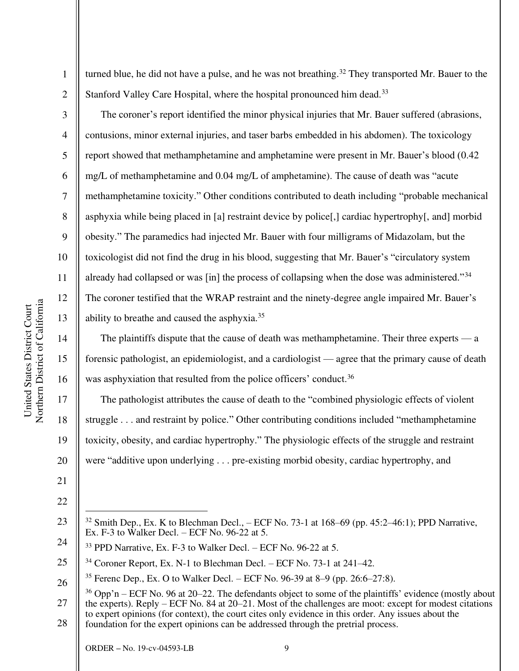2

3

4

5

6

7

8

9

10

11

12

13

14

15

16

17

18

19

20

21

turned blue, he did not have a pulse, and he was not breathing.<sup>32</sup> They transported Mr. Bauer to the Stanford Valley Care Hospital, where the hospital pronounced him dead.<sup>33</sup>

The coroner's report identified the minor physical injuries that Mr. Bauer suffered (abrasions, contusions, minor external injuries, and taser barbs embedded in his abdomen). The toxicology report showed that methamphetamine and amphetamine were present in Mr. Bauer's blood (0.42 mg/L of methamphetamine and 0.04 mg/L of amphetamine). The cause of death was "acute methamphetamine toxicity." Other conditions contributed to death including "probable mechanical asphyxia while being placed in [a] restraint device by police[,] cardiac hypertrophy[, and] morbid obesity." The paramedics had injected Mr. Bauer with four milligrams of Midazolam, but the toxicologist did not find the drug in his blood, suggesting that Mr. Bauer's "circulatory system already had collapsed or was [in] the process of collapsing when the dose was administered."<sup>34</sup> The coroner testified that the WRAP restraint and the ninety-degree angle impaired Mr. Bauer's ability to breathe and caused the asphyxia.<sup>35</sup>

The plaintiffs dispute that the cause of death was methamphetamine. Their three experts — a forensic pathologist, an epidemiologist, and a cardiologist — agree that the primary cause of death was asphyxiation that resulted from the police officers' conduct.<sup>36</sup>

The pathologist attributes the cause of death to the "combined physiologic effects of violent struggle . . . and restraint by police." Other contributing conditions included "methamphetamine toxicity, obesity, and cardiac hypertrophy." The physiologic effects of the struggle and restraint were "additive upon underlying . . . pre-existing morbid obesity, cardiac hypertrophy, and

<sup>22</sup> 

<sup>23</sup>  24

 $32$  Smith Dep., Ex. K to Blechman Decl.,  $-$  ECF No. 73-1 at 168–69 (pp. 45:2–46:1); PPD Narrative, Ex. F-3 to Walker Decl. – ECF No. 96-22 at 5.

 $33$  PPD Narrative, Ex. F-3 to Walker Decl. – ECF No. 96-22 at 5.

<sup>25</sup>   $34$  Coroner Report, Ex. N-1 to Blechman Decl. – ECF No. 73-1 at 241–42.

<sup>26</sup>  <sup>35</sup> Ferenc Dep., Ex. O to Walker Decl. – ECF No. 96-39 at 8–9 (pp. 26:6–27:8).

<sup>27</sup>  28  $36$  Opp'n – ECF No. 96 at 20–22. The defendants object to some of the plaintiffs' evidence (mostly about the experts). Reply – ECF No. 84 at 20–21. Most of the challenges are moot: except for modest citations to expert opinions (for context), the court cites only evidence in this order. Any issues about the foundation for the expert opinions can be addressed through the pretrial process.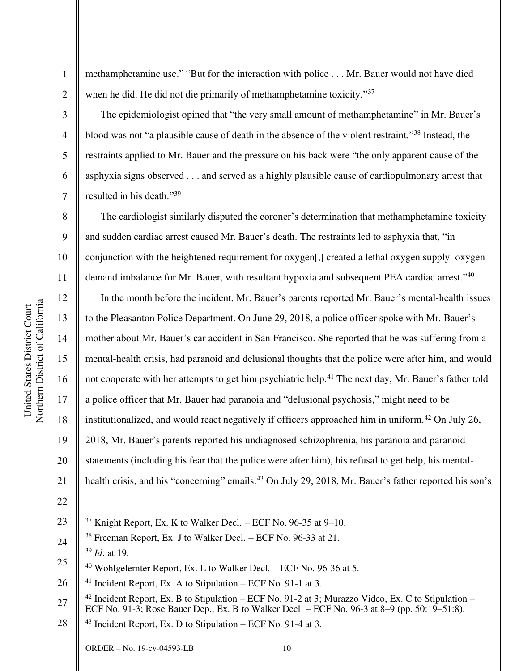2

3

4

5

6

7

8

9

10

11

13

14

15

17

18

19

21

22

methamphetamine use." "But for the interaction with police . . . Mr. Bauer would not have died when he did. He did not die primarily of methamphetamine toxicity."<sup>37</sup>

The epidemiologist opined that "the very small amount of methamphetamine" in Mr. Bauer's blood was not "a plausible cause of death in the absence of the violent restraint."<sup>38</sup> Instead, the restraints applied to Mr. Bauer and the pressure on his back were "the only apparent cause of the asphyxia signs observed . . . and served as a highly plausible cause of cardiopulmonary arrest that resulted in his death."<sup>39</sup>

The cardiologist similarly disputed the coroner's determination that methamphetamine toxicity and sudden cardiac arrest caused Mr. Bauer's death. The restraints led to asphyxia that, "in conjunction with the heightened requirement for oxygen[,] created a lethal oxygen supply–oxygen demand imbalance for Mr. Bauer, with resultant hypoxia and subsequent PEA cardiac arrest."<sup>40</sup>

12 16 20 In the month before the incident, Mr. Bauer's parents reported Mr. Bauer's mental-health issues to the Pleasanton Police Department. On June 29, 2018, a police officer spoke with Mr. Bauer's mother about Mr. Bauer's car accident in San Francisco. She reported that he was suffering from a mental-health crisis, had paranoid and delusional thoughts that the police were after him, and would not cooperate with her attempts to get him psychiatric help.<sup>41</sup> The next day, Mr. Bauer's father told a police officer that Mr. Bauer had paranoia and "delusional psychosis," might need to be institutionalized, and would react negatively if officers approached him in uniform.<sup>42</sup> On July 26, 2018, Mr. Bauer's parents reported his undiagnosed schizophrenia, his paranoia and paranoid statements (including his fear that the police were after him), his refusal to get help, his mentalhealth crisis, and his "concerning" emails.<sup>43</sup> On July 29, 2018, Mr. Bauer's father reported his son's

<sup>23</sup>   $37$  Knight Report, Ex. K to Walker Decl. – ECF No. 96-35 at 9–10.

<sup>24</sup>  <sup>38</sup> Freeman Report, Ex. J to Walker Decl. *–* ECF No. 96-33 at 21. <sup>39</sup> *Id*. at 19.

<sup>25</sup>  <sup>40</sup> Wohlgelernter Report, Ex. L to Walker Decl. *–* ECF No. 96-36 at 5.

<sup>26</sup>  <sup>41</sup> Incident Report, Ex. A to Stipulation *–* ECF No. 91-1 at 3.

<sup>27</sup>  <sup>42</sup> Incident Report, Ex. B to Stipulation *–* ECF No. 91-2 at 3; Murazzo Video, Ex. C to Stipulation *–* ECF No. 91-3; Rose Bauer Dep., Ex. B to Walker Decl. *–* ECF No. 96-3 at 8–9 (pp. 50:19–51:8).

<sup>28</sup>  <sup>43</sup> Incident Report, Ex. D to Stipulation *–* ECF No. 91-4 at 3.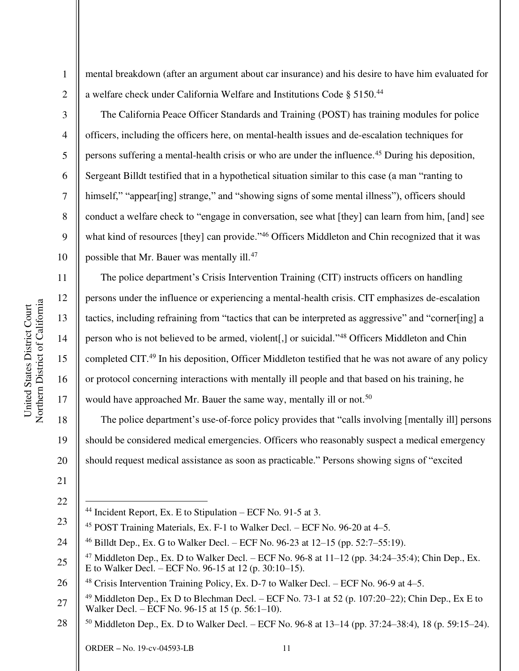mental breakdown (after an argument about car insurance) and his desire to have him evaluated for a welfare check under California Welfare and Institutions Code § 5150.<sup>44</sup>

The California Peace Officer Standards and Training (POST) has training modules for police officers, including the officers here, on mental-health issues and de-escalation techniques for persons suffering a mental-health crisis or who are under the influence.<sup>45</sup> During his deposition, Sergeant Billdt testified that in a hypothetical situation similar to this case (a man "ranting to himself," "appear[ing] strange," and "showing signs of some mental illness"), officers should conduct a welfare check to "engage in conversation, see what [they] can learn from him, [and] see what kind of resources [they] can provide."<sup>46</sup> Officers Middleton and Chin recognized that it was possible that Mr. Bauer was mentally ill.<sup>47</sup>

The police department's Crisis Intervention Training (CIT) instructs officers on handling persons under the influence or experiencing a mental-health crisis. CIT emphasizes de-escalation tactics, including refraining from "tactics that can be interpreted as aggressive" and "corner[ing] a person who is not believed to be armed, violent[,] or suicidal."<sup>48</sup> Officers Middleton and Chin completed CIT.<sup>49</sup> In his deposition, Officer Middleton testified that he was not aware of any policy or protocol concerning interactions with mentally ill people and that based on his training, he would have approached Mr. Bauer the same way, mentally ill or not.<sup>50</sup>

20 The police department's use-of-force policy provides that "calls involving [mentally ill] persons should be considered medical emergencies. Officers who reasonably suspect a medical emergency should request medical assistance as soon as practicable." Persons showing signs of "excited

21 22

1

2

3

4

5

6

7

8

9

10

11

12

13

14

15

16

17

18

- <sup>44</sup> Incident Report, Ex. E to Stipulation *–* ECF No. 91-5 at 3.
- 23 <sup>45</sup> POST Training Materials, Ex. F-1 to Walker Decl. *–* ECF No. 96-20 at 4–5.

<sup>24</sup> <sup>46</sup> Billdt Dep., Ex. G to Walker Decl. *–* ECF No. 96-23 at 12–15 (pp. 52:7–55:19).

<sup>25</sup>  <sup>47</sup> Middleton Dep., Ex. D to Walker Decl. – ECF No. 96-8 at 11–12 (pp. 34:24–35:4); Chin Dep., Ex. E to Walker Decl. *–* ECF No. 96-15 at 12 (p. 30:10–15).

<sup>26</sup>  <sup>48</sup> Crisis Intervention Training Policy, Ex. D-7 to Walker Decl. *–* ECF No. 96-9 at 4–5.

<sup>27</sup>  <sup>49</sup> Middleton Dep., Ex D to Blechman Decl. *–* ECF No. 73-1 at 52 (p. 107:20–22); Chin Dep., Ex E to Walker Decl. *–* ECF No. 96-15 at 15 (p. 56:1–10).

<sup>28</sup>  <sup>50</sup> Middleton Dep., Ex. D to Walker Decl. *–* ECF No. 96-8 at 13–14 (pp. 37:24–38:4), 18 (p. 59:15–24).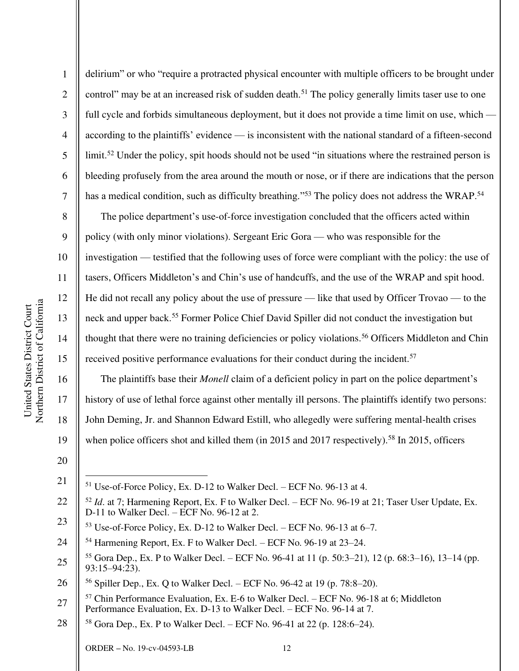delirium" or who "require a protracted physical encounter with multiple officers to be brought under control" may be at an increased risk of sudden death.<sup>51</sup> The policy generally limits taser use to one full cycle and forbids simultaneous deployment, but it does not provide a time limit on use, which according to the plaintiffs' evidence — is inconsistent with the national standard of a fifteen-second limit.<sup>52</sup> Under the policy, spit hoods should not be used "in situations where the restrained person is bleeding profusely from the area around the mouth or nose, or if there are indications that the person has a medical condition, such as difficulty breathing."<sup>53</sup> The policy does not address the WRAP.<sup>54</sup>

The police department's use-of-force investigation concluded that the officers acted within policy (with only minor violations). Sergeant Eric Gora — who was responsible for the investigation — testified that the following uses of force were compliant with the policy: the use of tasers, Officers Middleton's and Chin's use of handcuffs, and the use of the WRAP and spit hood. He did not recall any policy about the use of pressure — like that used by Officer Trovao — to the neck and upper back.<sup>55</sup> Former Police Chief David Spiller did not conduct the investigation but thought that there were no training deficiencies or policy violations.<sup>56</sup> Officers Middleton and Chin received positive performance evaluations for their conduct during the incident.<sup>57</sup>

The plaintiffs base their *Monell* claim of a deficient policy in part on the police department's history of use of lethal force against other mentally ill persons. The plaintiffs identify two persons: John Deming, Jr. and Shannon Edward Estill, who allegedly were suffering mental-health crises when police officers shot and killed them (in 2015 and 2017 respectively).<sup>58</sup> In 2015, officers

1

2

3

4

5

6

7

8

9

10

11

12

13

14

15

16

17

18

19

21 <sup>51</sup> Use-of-Force Policy, Ex. D-12 to Walker Decl. *–* ECF No. 96-13 at 4.

<sup>20</sup> 

<sup>22</sup>  <sup>52</sup> *Id*. at 7; Harmening Report, Ex. F to Walker Decl. *–* ECF No. 96-19 at 21; Taser User Update, Ex. D-11 to Walker Decl. *–* ECF No. 96-12 at 2.

<sup>23</sup>  <sup>53</sup> Use-of-Force Policy, Ex. D-12 to Walker Decl. *–* ECF No. 96-13 at 6–7.

<sup>24</sup> <sup>54</sup> Harmening Report, Ex. F to Walker Decl. *–* ECF No. 96-19 at 23–24.

<sup>25</sup>  <sup>55</sup> Gora Dep., Ex. P to Walker Decl. *–* ECF No. 96-41 at 11 (p. 50:3–21), 12 (p. 68:3–16), 13–14 (pp.  $93:15-94:23$ ).

<sup>26</sup>  <sup>56</sup> Spiller Dep., Ex. Q to Walker Decl. *–* ECF No. 96-42 at 19 (p. 78:8–20).

<sup>27</sup>  <sup>57</sup> Chin Performance Evaluation, Ex. E-6 to Walker Decl. *–* ECF No. 96-18 at 6; Middleton Performance Evaluation, Ex. D-13 to Walker Decl. *–* ECF No. 96-14 at 7.

<sup>28</sup>  <sup>58</sup> Gora Dep., Ex. P to Walker Decl. *–* ECF No. 96-41 at 22 (p. 128:6–24).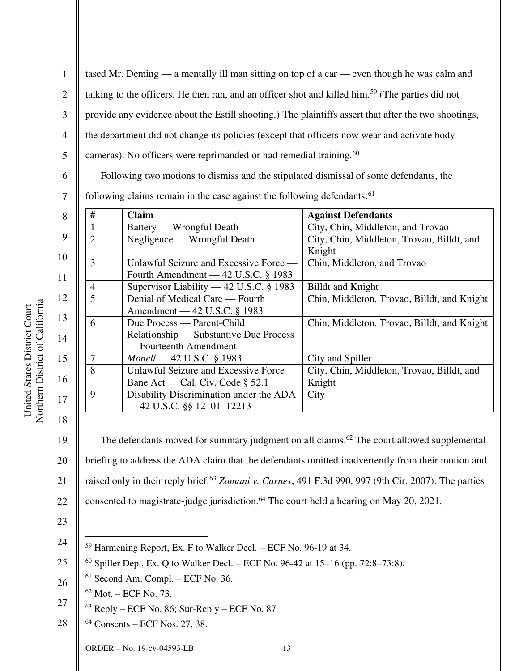1 2 3 4 5 tased Mr. Deming — a mentally ill man sitting on top of a car — even though he was calm and talking to the officers. He then ran, and an officer shot and killed him.<sup>59</sup> (The parties did not provide any evidence about the Estill shooting.) The plaintiffs assert that after the two shootings, the department did not change its policies (except that officers now wear and activate body cameras). No officers were reprimanded or had remedial training.<sup>60</sup>

Following two motions to dismiss and the stipulated dismissal of some defendants, the

7 following claims remain in the case against the following defendants:<sup>61</sup>

| 8        | # | <b>Claim</b>                                                                                   | <b>Against Defendants</b>                            |
|----------|---|------------------------------------------------------------------------------------------------|------------------------------------------------------|
|          |   | Battery — Wrongful Death                                                                       | City, Chin, Middleton, and Trovao                    |
| 9        |   | Negligence — Wrongful Death                                                                    | City, Chin, Middleton, Trovao, Billdt, and<br>Knight |
| 10<br>11 | 3 | Unlawful Seizure and Excessive Force —<br>Fourth Amendment — $42$ U.S.C. § 1983                | Chin, Middleton, and Trovao                          |
|          | 4 | Supervisor Liability — 42 U.S.C. § 1983                                                        | <b>Billdt</b> and Knight                             |
| 12       | 5 | Denial of Medical Care — Fourth<br>Amendment — 42 U.S.C. § 1983                                | Chin, Middleton, Trovao, Billdt, and Knight          |
| 13<br>14 | 6 | Due Process — Parent-Child<br>Relationship — Substantive Due Process<br>— Fourteenth Amendment | Chin, Middleton, Trovao, Billdt, and Knight          |
| 15       |   | <i>Monell</i> — 42 U.S.C. § 1983                                                               | City and Spiller                                     |
| 16       | 8 | Unlawful Seizure and Excessive Force —<br>Bane Act — Cal. Civ. Code $\S$ 52.1                  | City, Chin, Middleton, Trovao, Billdt, and<br>Knight |
| 17       | 9 | Disability Discrimination under the ADA<br>$-42$ U.S.C. §§ 12101-12213                         | City                                                 |

19 20 21 22 The defendants moved for summary judgment on all claims.<sup>62</sup> The court allowed supplemental briefing to address the ADA claim that the defendants omitted inadvertently from their motion and raised only in their reply brief.<sup>63</sup> *Zamani v. Carnes*, 491 F.3d 990, 997 (9th Cir. 2007). The parties consented to magistrate-judge jurisdiction.<sup>64</sup> The court held a hearing on May 20, 2021.

23 24

18

- <sup>59</sup> Harmening Report, Ex. F to Walker Decl. *–* ECF No. 96-19 at 34.
- 25 <sup>60</sup> Spiller Dep., Ex. Q to Walker Decl. *–* ECF No. 96-42 at 15*–*16 (pp. 72:8–73:8).
- 26  $61$  Second Am. Compl. – ECF No. 36.
	- $62$  Mot. ECF No. 73.
- 27  $63$  Reply – ECF No. 86; Sur-Reply – ECF No. 87.
- 28 64 Consents – ECF Nos. 27, 38.

ORDER **–** No. 19-cv-04593-LB 13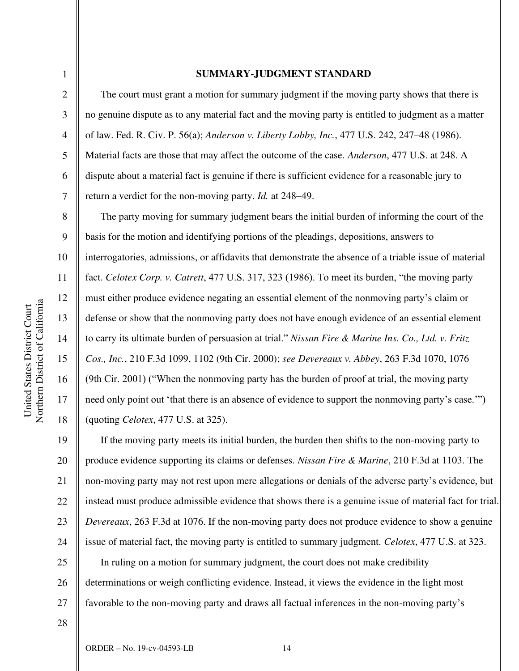3

4

5

6

7

8

9

10

11

12

13

14

15

16

17

18

#### **SUMMARY-JUDGMENT STANDARD**

The court must grant a motion for summary judgment if the moving party shows that there is no genuine dispute as to any material fact and the moving party is entitled to judgment as a matter of law. Fed. R. Civ. P. 56(a); *Anderson v. Liberty Lobby, Inc.*, 477 U.S. 242, 247–48 (1986). Material facts are those that may affect the outcome of the case. *Anderson*, 477 U.S. at 248. A dispute about a material fact is genuine if there is sufficient evidence for a reasonable jury to return a verdict for the non-moving party. *Id.* at 248–49.

The party moving for summary judgment bears the initial burden of informing the court of the basis for the motion and identifying portions of the pleadings, depositions, answers to interrogatories, admissions, or affidavits that demonstrate the absence of a triable issue of material fact. *Celotex Corp. v. Catrett*, 477 U.S. 317, 323 (1986). To meet its burden, "the moving party must either produce evidence negating an essential element of the nonmoving party's claim or defense or show that the nonmoving party does not have enough evidence of an essential element to carry its ultimate burden of persuasion at trial." *Nissan Fire & Marine Ins. Co., Ltd. v. Fritz Cos., Inc.*, 210 F.3d 1099, 1102 (9th Cir. 2000); *see Devereaux v. Abbey*, 263 F.3d 1070, 1076 (9th Cir. 2001) ("When the nonmoving party has the burden of proof at trial, the moving party need only point out 'that there is an absence of evidence to support the nonmoving party's case.'") (quoting *Celotex*, 477 U.S. at 325).

19 20 21 22 23 24  $25$ 26 27 If the moving party meets its initial burden, the burden then shifts to the non-moving party to produce evidence supporting its claims or defenses. *Nissan Fire & Marine*, 210 F.3d at 1103. The non-moving party may not rest upon mere allegations or denials of the adverse party's evidence, but instead must produce admissible evidence that shows there is a genuine issue of material fact for trial. *Devereaux*, 263 F.3d at 1076. If the non-moving party does not produce evidence to show a genuine issue of material fact, the moving party is entitled to summary judgment. *Celotex*, 477 U.S. at 323. In ruling on a motion for summary judgment, the court does not make credibility determinations or weigh conflicting evidence. Instead, it views the evidence in the light most favorable to the non-moving party and draws all factual inferences in the non-moving party's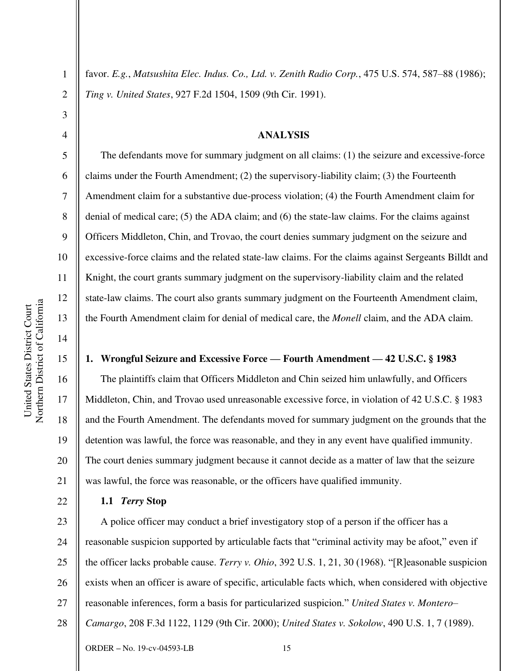2

3

4

5

6

7

8

9

10

11

12

13

14

15

16

17

18

19

20

21

22

favor. *E.g.*, *Matsushita Elec. Indus. Co., Ltd. v. Zenith Radio Corp.*, 475 U.S. 574, 587–88 (1986); *Ting v. United States*, 927 F.2d 1504, 1509 (9th Cir. 1991).

#### **ANALYSIS**

The defendants move for summary judgment on all claims: (1) the seizure and excessive-force claims under the Fourth Amendment; (2) the supervisory-liability claim; (3) the Fourteenth Amendment claim for a substantive due-process violation; (4) the Fourth Amendment claim for denial of medical care; (5) the ADA claim; and (6) the state-law claims. For the claims against Officers Middleton, Chin, and Trovao, the court denies summary judgment on the seizure and excessive-force claims and the related state-law claims. For the claims against Sergeants Billdt and Knight, the court grants summary judgment on the supervisory-liability claim and the related state-law claims. The court also grants summary judgment on the Fourteenth Amendment claim, the Fourth Amendment claim for denial of medical care, the *Monell* claim, and the ADA claim.

# **1. Wrongful Seizure and Excessive Force — Fourth Amendment — 42 U.S.C. § 1983**

The plaintiffs claim that Officers Middleton and Chin seized him unlawfully, and Officers Middleton, Chin, and Trovao used unreasonable excessive force, in violation of 42 U.S.C. § 1983 and the Fourth Amendment. The defendants moved for summary judgment on the grounds that the detention was lawful, the force was reasonable, and they in any event have qualified immunity. The court denies summary judgment because it cannot decide as a matter of law that the seizure was lawful, the force was reasonable, or the officers have qualified immunity.

# **1.1** *Terry* **Stop**

23 24 25 26 27 28 A police officer may conduct a brief investigatory stop of a person if the officer has a reasonable suspicion supported by articulable facts that "criminal activity may be afoot," even if the officer lacks probable cause. *Terry v. Ohio*, 392 U.S. 1, 21, 30 (1968). "[R]easonable suspicion exists when an officer is aware of specific, articulable facts which, when considered with objective reasonable inferences, form a basis for particularized suspicion." *United States v. Montero– Camargo*, 208 F.3d 1122, 1129 (9th Cir. 2000); *United States v. Sokolow*, 490 U.S. 1, 7 (1989).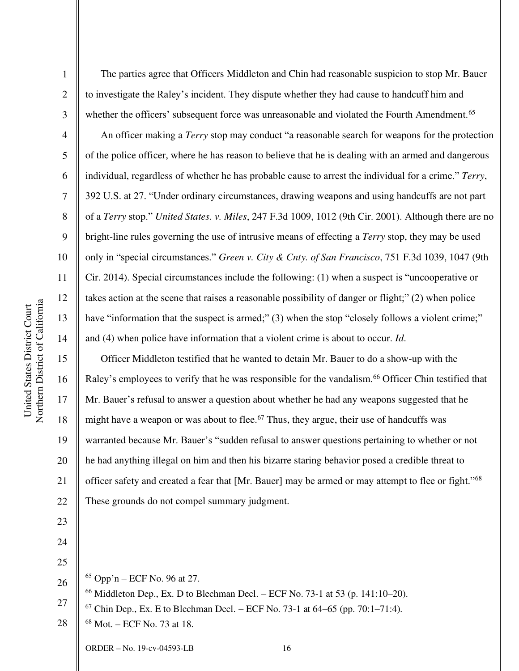Northern District of California Northern District of California United States District Court United States District Court

1

2

3

4

5

6

7

8

9

10

11

12

13

14

15

16

17

18

19

20

21

22

23

The parties agree that Officers Middleton and Chin had reasonable suspicion to stop Mr. Bauer to investigate the Raley's incident. They dispute whether they had cause to handcuff him and whether the officers' subsequent force was unreasonable and violated the Fourth Amendment.<sup>65</sup>

An officer making a *Terry* stop may conduct "a reasonable search for weapons for the protection of the police officer, where he has reason to believe that he is dealing with an armed and dangerous individual, regardless of whether he has probable cause to arrest the individual for a crime." *Terry*, 392 U.S. at 27. "Under ordinary circumstances, drawing weapons and using handcuffs are not part of a *Terry* stop." *United States. v. Miles*, 247 F.3d 1009, 1012 (9th Cir. 2001). Although there are no bright-line rules governing the use of intrusive means of effecting a *Terry* stop, they may be used only in "special circumstances." *Green v. City & Cnty. of San Francisco*, 751 F.3d 1039, 1047 (9th Cir. 2014). Special circumstances include the following: (1) when a suspect is "uncooperative or takes action at the scene that raises a reasonable possibility of danger or flight;" (2) when police have "information that the suspect is armed;" (3) when the stop "closely follows a violent crime;" and (4) when police have information that a violent crime is about to occur. *Id*.

Officer Middleton testified that he wanted to detain Mr. Bauer to do a show-up with the Raley's employees to verify that he was responsible for the vandalism.<sup>66</sup> Officer Chin testified that Mr. Bauer's refusal to answer a question about whether he had any weapons suggested that he might have a weapon or was about to flee.<sup>67</sup> Thus, they argue, their use of handcuffs was warranted because Mr. Bauer's "sudden refusal to answer questions pertaining to whether or not he had anything illegal on him and then his bizarre staring behavior posed a credible threat to officer safety and created a fear that [Mr. Bauer] may be armed or may attempt to flee or fight."<sup>68</sup> These grounds do not compel summary judgment.

24

25 26

 $65$  Opp'n – ECF No. 96 at 27.

- $66$  Middleton Dep., Ex. D to Blechman Decl. ECF No. 73-1 at 53 (p. 141:10–20).
- 27  $67$  Chin Dep., Ex. E to Blechman Decl. – ECF No. 73-1 at 64–65 (pp. 70:1–71:4).
- 28 68 Mot. – ECF No. 73 at 18.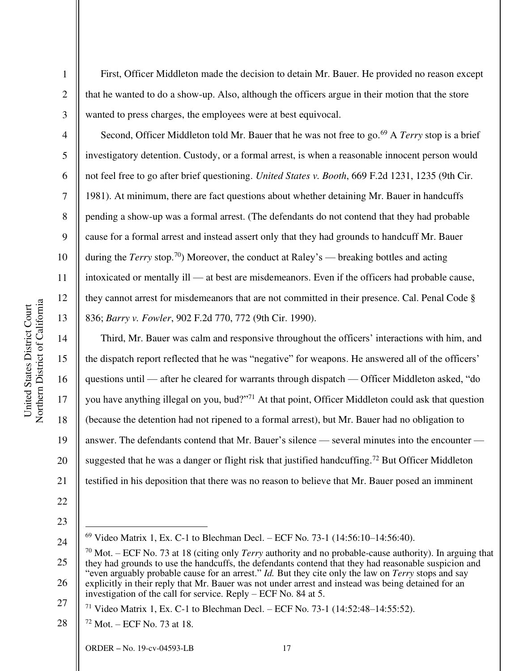Northern District of California Northern District of California United States District Court United States District Court

1

2

3

4

5

6

7

8

9

10

11

12

13

14

15

16

17

18

19

20

21

22

First, Officer Middleton made the decision to detain Mr. Bauer. He provided no reason except that he wanted to do a show-up. Also, although the officers argue in their motion that the store wanted to press charges, the employees were at best equivocal.

Second, Officer Middleton told Mr. Bauer that he was not free to go.<sup>69</sup> A *Terry* stop is a brief investigatory detention. Custody, or a formal arrest, is when a reasonable innocent person would not feel free to go after brief questioning. *United States v. Booth*, 669 F.2d 1231, 1235 (9th Cir. 1981). At minimum, there are fact questions about whether detaining Mr. Bauer in handcuffs pending a show-up was a formal arrest. (The defendants do not contend that they had probable cause for a formal arrest and instead assert only that they had grounds to handcuff Mr. Bauer during the *Terry* stop.<sup>70</sup>) Moreover, the conduct at Raley's — breaking bottles and acting intoxicated or mentally ill — at best are misdemeanors. Even if the officers had probable cause, they cannot arrest for misdemeanors that are not committed in their presence. Cal. Penal Code § 836; *Barry v. Fowler*, 902 F.2d 770, 772 (9th Cir. 1990).

Third, Mr. Bauer was calm and responsive throughout the officers' interactions with him, and the dispatch report reflected that he was "negative" for weapons. He answered all of the officers' questions until — after he cleared for warrants through dispatch — Officer Middleton asked, "do you have anything illegal on you, bud?"<sup>71</sup> At that point, Officer Middleton could ask that question (because the detention had not ripened to a formal arrest), but Mr. Bauer had no obligation to answer. The defendants contend that Mr. Bauer's silence — several minutes into the encounter suggested that he was a danger or flight risk that justified handcuffing.<sup>72</sup> But Officer Middleton testified in his deposition that there was no reason to believe that Mr. Bauer posed an imminent

<sup>24</sup> 

<sup>69</sup> Video Matrix 1, Ex. C-1 to Blechman Decl. *–* ECF No. 73-1 (14:56:10–14:56:40).

<sup>25</sup>  26 <sup>70</sup> Mot. – ECF No. 73 at 18 (citing only *Terry* authority and no probable-cause authority). In arguing that they had grounds to use the handcuffs, the defendants contend that they had reasonable suspicion and "even arguably probable cause for an arrest." *Id.* But they cite only the law on *Terry* stops and say explicitly in their reply that Mr. Bauer was not under arrest and instead was being detained for an investigation of the call for service. Reply – ECF No. 84 at 5.

<sup>27</sup>  <sup>71</sup> Video Matrix 1, Ex. C-1 to Blechman Decl. *–* ECF No. 73-1 (14:52:48–14:55:52).

<sup>28</sup>   $72$  Mot. – ECF No. 73 at 18.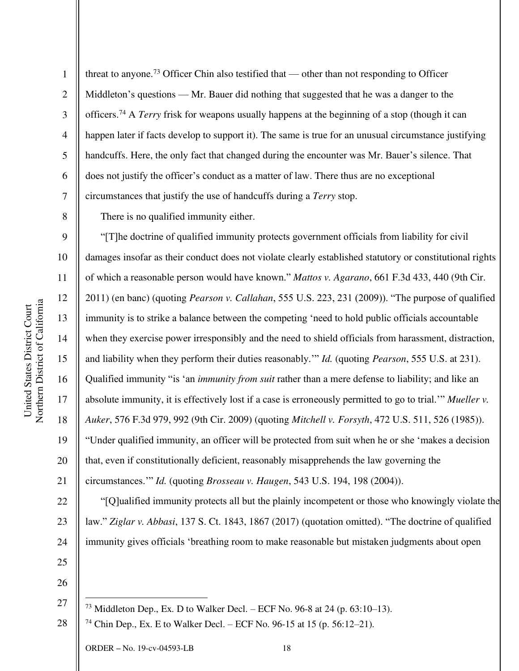threat to anyone.<sup>73</sup> Officer Chin also testified that — other than not responding to Officer Middleton's questions — Mr. Bauer did nothing that suggested that he was a danger to the officers.<sup>74</sup> A *Terry* frisk for weapons usually happens at the beginning of a stop (though it can happen later if facts develop to support it). The same is true for an unusual circumstance justifying handcuffs. Here, the only fact that changed during the encounter was Mr. Bauer's silence. That does not justify the officer's conduct as a matter of law. There thus are no exceptional circumstances that justify the use of handcuffs during a *Terry* stop.

There is no qualified immunity either.

"[T]he doctrine of qualified immunity protects government officials from liability for civil damages insofar as their conduct does not violate clearly established statutory or constitutional rights of which a reasonable person would have known." *Mattos v. Agarano*, 661 F.3d 433, 440 (9th Cir. 2011) (en banc) (quoting *Pearson v. Callahan*, 555 U.S. 223, 231 (2009)). "The purpose of qualified immunity is to strike a balance between the competing 'need to hold public officials accountable when they exercise power irresponsibly and the need to shield officials from harassment, distraction, and liability when they perform their duties reasonably.'" *Id.* (quoting *Pearson*, 555 U.S. at 231). Qualified immunity "is 'an *immunity from suit* rather than a mere defense to liability; and like an absolute immunity, it is effectively lost if a case is erroneously permitted to go to trial.'" *Mueller v. Auker*, 576 F.3d 979, 992 (9th Cir. 2009) (quoting *Mitchell v. Forsyth*, 472 U.S. 511, 526 (1985)). "Under qualified immunity, an officer will be protected from suit when he or she 'makes a decision that, even if constitutionally deficient, reasonably misapprehends the law governing the circumstances.'" *Id.* (quoting *Brosseau v. Haugen*, 543 U.S. 194, 198 (2004)).

22 24 "[Q]ualified immunity protects all but the plainly incompetent or those who knowingly violate the law." *Ziglar v. Abbasi*, 137 S. Ct. 1843, 1867 (2017) (quotation omitted). "The doctrine of qualified immunity gives officials 'breathing room to make reasonable but mistaken judgments about open

26

27

25

<sup>73</sup> Middleton Dep., Ex. D to Walker Decl. – ECF No. 96-8 at 24 (p. 63:10–13).

28 <sup>74</sup> Chin Dep., Ex. E to Walker Decl. – ECF No. 96-15 at 15 (p. 56:12–21).

1

2

3

4

5

6

7

8

9

10

11

12

13

14

15

16

17

18

19

20

21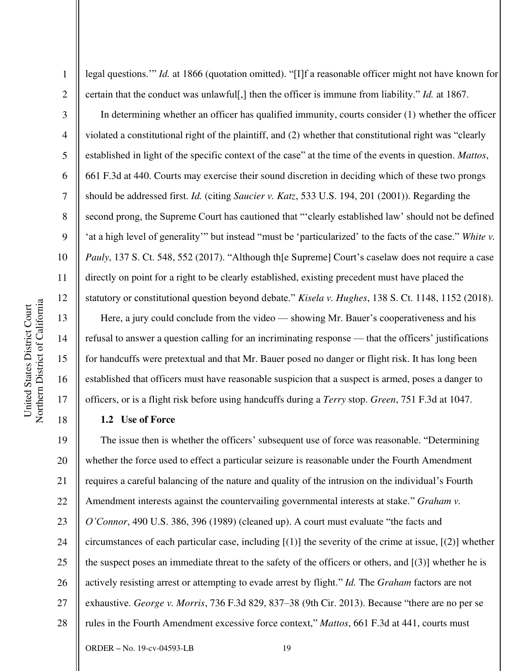2

3

4

5

6

7

8

9

10

11

12

13

14

15

16

17

18

legal questions.'" *Id.* at 1866 (quotation omitted). "[I]f a reasonable officer might not have known for certain that the conduct was unlawful[,] then the officer is immune from liability." *Id.* at 1867.

In determining whether an officer has qualified immunity, courts consider (1) whether the officer violated a constitutional right of the plaintiff, and (2) whether that constitutional right was "clearly established in light of the specific context of the case" at the time of the events in question. *Mattos*, 661 F.3d at 440. Courts may exercise their sound discretion in deciding which of these two prongs should be addressed first. *Id.* (citing *Saucier v. Katz*, 533 U.S. 194, 201 (2001)). Regarding the second prong, the Supreme Court has cautioned that "'clearly established law' should not be defined 'at a high level of generality'" but instead "must be 'particularized' to the facts of the case." *White v. Pauly*, 137 S. Ct. 548, 552 (2017). "Although the Supreme Court's caselaw does not require a case directly on point for a right to be clearly established, existing precedent must have placed the statutory or constitutional question beyond debate." *Kisela v. Hughes*, 138 S. Ct. 1148, 1152 (2018).

Here, a jury could conclude from the video — showing Mr. Bauer's cooperativeness and his refusal to answer a question calling for an incriminating response — that the officers' justifications for handcuffs were pretextual and that Mr. Bauer posed no danger or flight risk. It has long been established that officers must have reasonable suspicion that a suspect is armed, poses a danger to officers, or is a flight risk before using handcuffs during a *Terry* stop. *Green*, 751 F.3d at 1047.

# **1.2 Use of Force**

19 20 21 22 23 24 25 26 27 28 The issue then is whether the officers' subsequent use of force was reasonable. "Determining whether the force used to effect a particular seizure is reasonable under the Fourth Amendment requires a careful balancing of the nature and quality of the intrusion on the individual's Fourth Amendment interests against the countervailing governmental interests at stake." *Graham v. O'Connor*, 490 U.S. 386, 396 (1989) (cleaned up). A court must evaluate "the facts and circumstances of each particular case, including [(1)] the severity of the crime at issue, [(2)] whether the suspect poses an immediate threat to the safety of the officers or others, and  $[(3)]$  whether he is actively resisting arrest or attempting to evade arrest by flight." *Id.* The *Graham* factors are not exhaustive. *George v. Morris*, 736 F.3d 829, 837–38 (9th Cir. 2013). Because "there are no per se rules in the Fourth Amendment excessive force context," *Mattos*, 661 F.3d at 441, courts must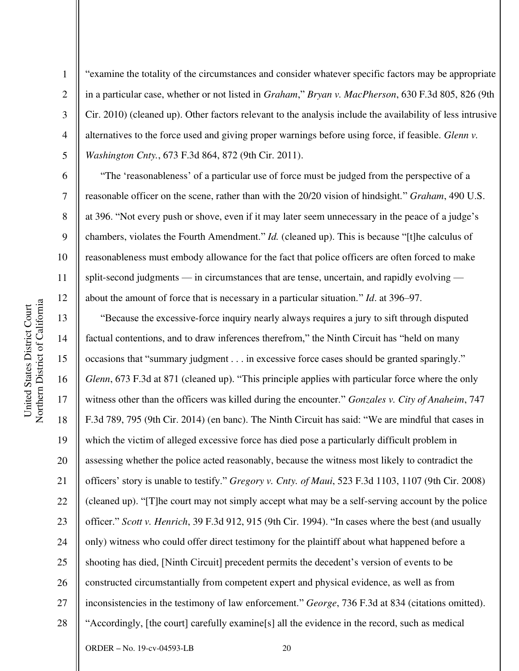2

3

4

5

6

7

8

9

10

11

12

13

14

15

17

18

19

21

22

23

24

25

27

28

"examine the totality of the circumstances and consider whatever specific factors may be appropriate in a particular case, whether or not listed in *Graham*," *Bryan v. MacPherson*, 630 F.3d 805, 826 (9th Cir. 2010) (cleaned up). Other factors relevant to the analysis include the availability of less intrusive alternatives to the force used and giving proper warnings before using force, if feasible. *Glenn v. Washington Cnty.*, 673 F.3d 864, 872 (9th Cir. 2011).

"The 'reasonableness' of a particular use of force must be judged from the perspective of a reasonable officer on the scene, rather than with the 20/20 vision of hindsight." *Graham*, 490 U.S. at 396. "Not every push or shove, even if it may later seem unnecessary in the peace of a judge's chambers, violates the Fourth Amendment." *Id.* (cleaned up). This is because "[t]he calculus of reasonableness must embody allowance for the fact that police officers are often forced to make split-second judgments — in circumstances that are tense, uncertain, and rapidly evolving about the amount of force that is necessary in a particular situation." *Id*. at 396–97.

16 20 26 "Because the excessive-force inquiry nearly always requires a jury to sift through disputed factual contentions, and to draw inferences therefrom," the Ninth Circuit has "held on many occasions that "summary judgment . . . in excessive force cases should be granted sparingly." *Glenn*, 673 F.3d at 871 (cleaned up). "This principle applies with particular force where the only witness other than the officers was killed during the encounter." *Gonzales v. City of Anaheim*, 747 F.3d 789, 795 (9th Cir. 2014) (en banc). The Ninth Circuit has said: "We are mindful that cases in which the victim of alleged excessive force has died pose a particularly difficult problem in assessing whether the police acted reasonably, because the witness most likely to contradict the officers' story is unable to testify." *Gregory v. Cnty. of Maui*, 523 F.3d 1103, 1107 (9th Cir. 2008) (cleaned up). "[T]he court may not simply accept what may be a self-serving account by the police officer." *Scott v. Henrich*, 39 F.3d 912, 915 (9th Cir. 1994). "In cases where the best (and usually only) witness who could offer direct testimony for the plaintiff about what happened before a shooting has died, [Ninth Circuit] precedent permits the decedent's version of events to be constructed circumstantially from competent expert and physical evidence, as well as from inconsistencies in the testimony of law enforcement." *George*, 736 F.3d at 834 (citations omitted). "Accordingly, [the court] carefully examine[s] all the evidence in the record, such as medical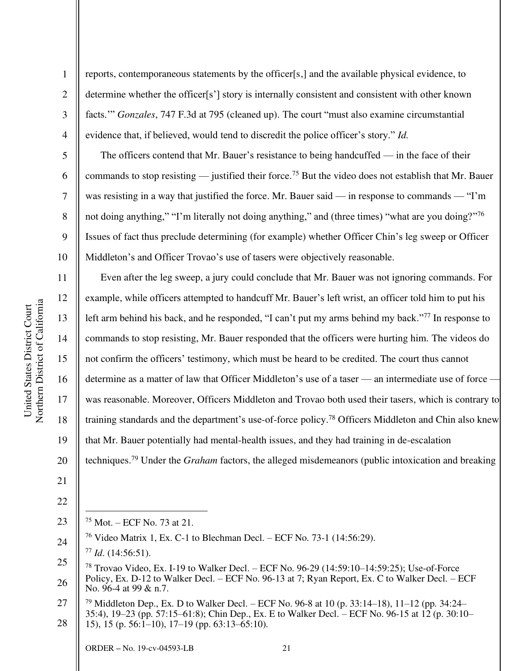reports, contemporaneous statements by the officer[s,] and the available physical evidence, to determine whether the officer[s'] story is internally consistent and consistent with other known facts.'" *Gonzales*, 747 F.3d at 795 (cleaned up). The court "must also examine circumstantial evidence that, if believed, would tend to discredit the police officer's story." *Id.*

The officers contend that Mr. Bauer's resistance to being handcuffed — in the face of their commands to stop resisting — justified their force.<sup>75</sup> But the video does not establish that Mr. Bauer was resisting in a way that justified the force. Mr. Bauer said — in response to commands — "I'm not doing anything," "I'm literally not doing anything," and (three times) "what are you doing?"<sup>76</sup> Issues of fact thus preclude determining (for example) whether Officer Chin's leg sweep or Officer Middleton's and Officer Trovao's use of tasers were objectively reasonable.

16 20 Even after the leg sweep, a jury could conclude that Mr. Bauer was not ignoring commands. For example, while officers attempted to handcuff Mr. Bauer's left wrist, an officer told him to put his left arm behind his back, and he responded, "I can't put my arms behind my back."<sup>77</sup> In response to commands to stop resisting, Mr. Bauer responded that the officers were hurting him. The videos do not confirm the officers' testimony, which must be heard to be credited. The court thus cannot determine as a matter of law that Officer Middleton's use of a taser — an intermediate use of force – was reasonable. Moreover, Officers Middleton and Trovao both used their tasers, which is contrary to training standards and the department's use-of-force policy.<sup>78</sup> Officers Middleton and Chin also knew that Mr. Bauer potentially had mental-health issues, and they had training in de-escalation techniques.<sup>79</sup> Under the *Graham* factors, the alleged misdemeanors (public intoxication and breaking

21

1

2

3

4

5

6

7

8

9

10

11

12

13

14

15

17

18

19

<sup>75</sup> Mot. – ECF No. 73 at 21.

<sup>24</sup>  <sup>76</sup> Video Matrix 1, Ex. C-1 to Blechman Decl. *–* ECF No. 73-1 (14:56:29). <sup>77</sup> *Id*. (14:56:51).

<sup>25</sup>  26 <sup>78</sup> Trovao Video, Ex. I-19 to Walker Decl. – ECF No. 96-29 (14:59:10–14:59:25); Use-of-Force Policy, Ex. D-12 to Walker Decl. *–* ECF No. 96-13 at 7; Ryan Report, Ex. C to Walker Decl. – ECF No. 96-4 at 99 & n.7.

<sup>27</sup>  28 <sup>79</sup> Middleton Dep., Ex. D to Walker Decl. – ECF No. 96-8 at 10 (p. 33:14–18), 11–12 (pp. 34:24– 35:4), 19–23 (pp. 57:15–61:8); Chin Dep., Ex. E to Walker Decl. – ECF No. 96-15 at 12 (p. 30:10– 15), 15 (p. 56:1–10), 17–19 (pp. 63:13–65:10).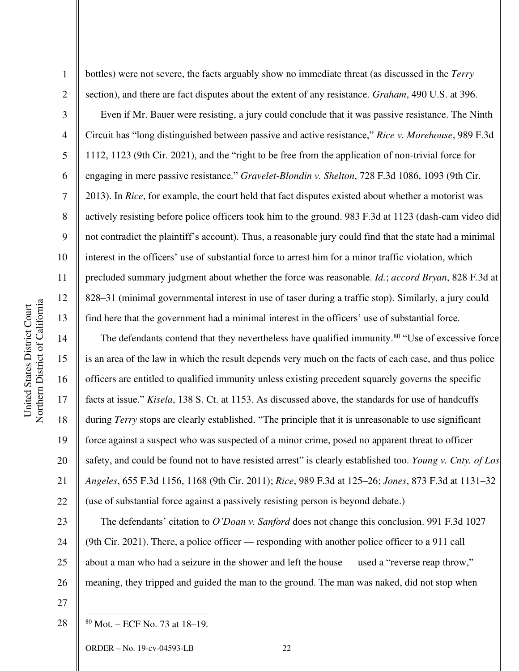2

3

4

5

6

7

8

9

10

11

12

13

14

15

17

18

19

20

21

22

23

24

25

bottles) were not severe, the facts arguably show no immediate threat (as discussed in the *Terry*  section), and there are fact disputes about the extent of any resistance. *Graham*, 490 U.S. at 396.

Even if Mr. Bauer were resisting, a jury could conclude that it was passive resistance. The Ninth Circuit has "long distinguished between passive and active resistance," *Rice v. Morehouse*, 989 F.3d 1112, 1123 (9th Cir. 2021), and the "right to be free from the application of non-trivial force for engaging in mere passive resistance." *Gravelet-Blondin v. Shelton*, 728 F.3d 1086, 1093 (9th Cir. 2013). In *Rice*, for example, the court held that fact disputes existed about whether a motorist was actively resisting before police officers took him to the ground. 983 F.3d at 1123 (dash-cam video did not contradict the plaintiff's account). Thus, a reasonable jury could find that the state had a minimal interest in the officers' use of substantial force to arrest him for a minor traffic violation, which precluded summary judgment about whether the force was reasonable. *Id.*; *accord Bryan*, 828 F.3d at 828–31 (minimal governmental interest in use of taser during a traffic stop). Similarly, a jury could find here that the government had a minimal interest in the officers' use of substantial force.

16 The defendants contend that they nevertheless have qualified immunity.<sup>80</sup> "Use of excessive force is an area of the law in which the result depends very much on the facts of each case, and thus police officers are entitled to qualified immunity unless existing precedent squarely governs the specific facts at issue." *Kisela*, 138 S. Ct. at 1153. As discussed above, the standards for use of handcuffs during *Terry* stops are clearly established. "The principle that it is unreasonable to use significant force against a suspect who was suspected of a minor crime, posed no apparent threat to officer safety, and could be found not to have resisted arrest" is clearly established too. *Young v. Cnty. of Los Angeles*, 655 F.3d 1156, 1168 (9th Cir. 2011); *Rice*, 989 F.3d at 125–26; *Jones*, 873 F.3d at 1131–32 (use of substantial force against a passively resisting person is beyond debate.)

26 The defendants' citation to *O'Doan v. Sanford* does not change this conclusion. 991 F.3d 1027 (9th Cir. 2021). There, a police officer — responding with another police officer to a 911 call about a man who had a seizure in the shower and left the house — used a "reverse reap throw," meaning, they tripped and guided the man to the ground. The man was naked, did not stop when

27

28

80 Mot. – ECF No. 73 at 18–19.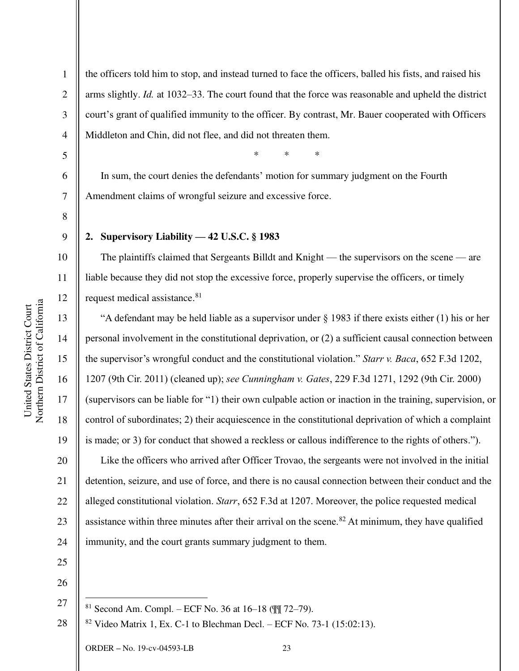1 2 3 4 the officers told him to stop, and instead turned to face the officers, balled his fists, and raised his arms slightly. *Id.* at 1032–33. The court found that the force was reasonable and upheld the district court's grant of qualified immunity to the officer. By contrast, Mr. Bauer cooperated with Officers Middleton and Chin, did not flee, and did not threaten them.

\* \* \*

6 7 In sum, the court denies the defendants' motion for summary judgment on the Fourth Amendment claims of wrongful seizure and excessive force.

8 9

10

11

12

13

14

15

16

17

18

19

20

21

22

23

24

5

# **2. Supervisory Liability — 42 U.S.C. § 1983**

The plaintiffs claimed that Sergeants Billdt and Knight — the supervisors on the scene — are liable because they did not stop the excessive force, properly supervise the officers, or timely request medical assistance.<sup>81</sup>

"A defendant may be held liable as a supervisor under § 1983 if there exists either (1) his or her personal involvement in the constitutional deprivation, or (2) a sufficient causal connection between the supervisor's wrongful conduct and the constitutional violation." *Starr v. Baca*, 652 F.3d 1202, 1207 (9th Cir. 2011) (cleaned up); *see Cunningham v. Gates*, 229 F.3d 1271, 1292 (9th Cir. 2000) (supervisors can be liable for "1) their own culpable action or inaction in the training, supervision, or control of subordinates; 2) their acquiescence in the constitutional deprivation of which a complaint is made; or 3) for conduct that showed a reckless or callous indifference to the rights of others."). Like the officers who arrived after Officer Trovao, the sergeants were not involved in the initial detention, seizure, and use of force, and there is no causal connection between their conduct and the alleged constitutional violation. *Starr*, 652 F.3d at 1207. Moreover, the police requested medical assistance within three minutes after their arrival on the scene.<sup>82</sup> At minimum, they have qualified immunity, and the court grants summary judgment to them.

- 25
- 26 27
	- <sup>81</sup> Second Am. Compl. ECF No. 36 at 16–18 (¶¶ 72–79).

28 <sup>82</sup> Video Matrix 1, Ex. C-1 to Blechman Decl. *–* ECF No. 73-1 (15:02:13).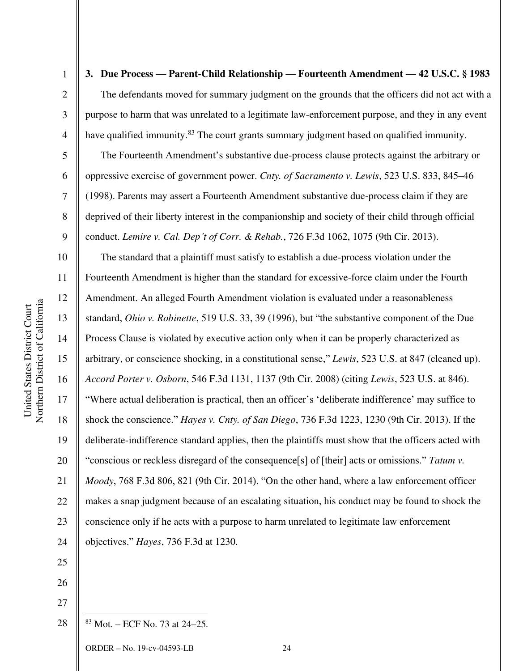2

3

4

5

6

7

8

9

**3. Due Process — Parent-Child Relationship — Fourteenth Amendment — 42 U.S.C. § 1983**  The defendants moved for summary judgment on the grounds that the officers did not act with a purpose to harm that was unrelated to a legitimate law-enforcement purpose, and they in any event have qualified immunity.<sup>83</sup> The court grants summary judgment based on qualified immunity.

The Fourteenth Amendment's substantive due-process clause protects against the arbitrary or oppressive exercise of government power. *Cnty. of Sacramento v. Lewis*, 523 U.S. 833, 845–46 (1998). Parents may assert a Fourteenth Amendment substantive due-process claim if they are deprived of their liberty interest in the companionship and society of their child through official conduct. *Lemire v. Cal. Dep't of Corr. & Rehab.*, 726 F.3d 1062, 1075 (9th Cir. 2013).

10 11 12 13 14 15 16 17 18 19 20 21 22 23 24 The standard that a plaintiff must satisfy to establish a due-process violation under the Fourteenth Amendment is higher than the standard for excessive-force claim under the Fourth Amendment. An alleged Fourth Amendment violation is evaluated under a reasonableness standard, *Ohio v. Robinette*, 519 U.S. 33, 39 (1996), but "the substantive component of the Due Process Clause is violated by executive action only when it can be properly characterized as arbitrary, or conscience shocking, in a constitutional sense," *Lewis*, 523 U.S. at 847 (cleaned up). *Accord Porter v. Osborn*, 546 F.3d 1131, 1137 (9th Cir. 2008) (citing *Lewis*, 523 U.S. at 846). "Where actual deliberation is practical, then an officer's 'deliberate indifference' may suffice to shock the conscience." *Hayes v. Cnty. of San Diego*, 736 F.3d 1223, 1230 (9th Cir. 2013). If the deliberate-indifference standard applies, then the plaintiffs must show that the officers acted with "conscious or reckless disregard of the consequence[s] of [their] acts or omissions." *Tatum v. Moody*, 768 F.3d 806, 821 (9th Cir. 2014). "On the other hand, where a law enforcement officer makes a snap judgment because of an escalating situation, his conduct may be found to shock the conscience only if he acts with a purpose to harm unrelated to legitimate law enforcement objectives." *Hayes*, 736 F.3d at 1230.

26 27

28

25

 $83$  Mot. – ECF No. 73 at 24–25.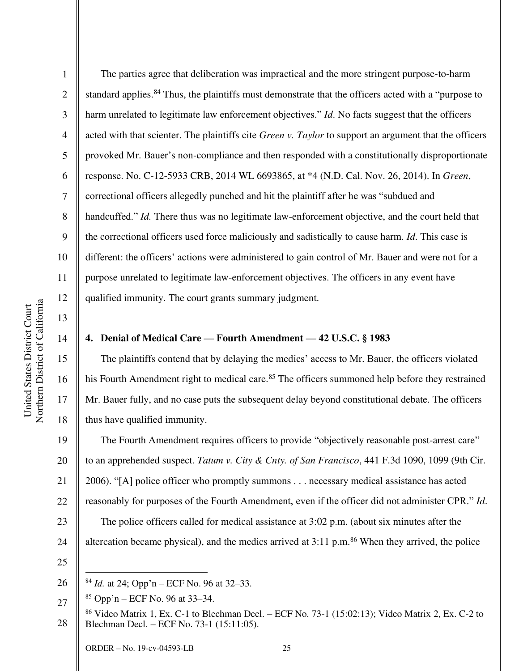2

3

4

5

7

8

9

11

12

13

14

15

16

17

18

6 10 The parties agree that deliberation was impractical and the more stringent purpose-to-harm standard applies.<sup>84</sup> Thus, the plaintiffs must demonstrate that the officers acted with a "purpose to harm unrelated to legitimate law enforcement objectives." *Id*. No facts suggest that the officers acted with that scienter. The plaintiffs cite *Green v. Taylor* to support an argument that the officers provoked Mr. Bauer's non-compliance and then responded with a constitutionally disproportionate response. No. C-12-5933 CRB, 2014 WL 6693865, at \*4 (N.D. Cal. Nov. 26, 2014). In *Green*, correctional officers allegedly punched and hit the plaintiff after he was "subdued and handcuffed." *Id.* There thus was no legitimate law-enforcement objective, and the court held that the correctional officers used force maliciously and sadistically to cause harm*. Id*. This case is different: the officers' actions were administered to gain control of Mr. Bauer and were not for a purpose unrelated to legitimate law-enforcement objectives. The officers in any event have qualified immunity. The court grants summary judgment.

# **4. Denial of Medical Care — Fourth Amendment — 42 U.S.C. § 1983**

The plaintiffs contend that by delaying the medics' access to Mr. Bauer, the officers violated his Fourth Amendment right to medical care.<sup>85</sup> The officers summoned help before they restrained Mr. Bauer fully, and no case puts the subsequent delay beyond constitutional debate. The officers thus have qualified immunity.

19 20 21 22 23 24 The Fourth Amendment requires officers to provide "objectively reasonable post-arrest care" to an apprehended suspect. *Tatum v. City & Cnty. of San Francisco*, 441 F.3d 1090, 1099 (9th Cir. 2006). "[A] police officer who promptly summons . . . necessary medical assistance has acted reasonably for purposes of the Fourth Amendment, even if the officer did not administer CPR." *Id*. The police officers called for medical assistance at 3:02 p.m. (about six minutes after the altercation became physical), and the medics arrived at  $3:11$  p.m.<sup>86</sup> When they arrived, the police

25

<sup>26</sup>  <sup>84</sup> *Id.* at 24; Opp'n – ECF No. 96 at 32–33.

<sup>27</sup>   $85$  Opp'n – ECF No. 96 at 33–34.

<sup>28</sup>  <sup>86</sup> Video Matrix 1, Ex. C-1 to Blechman Decl. – ECF No. 73-1 (15:02:13); Video Matrix 2, Ex. C-2 to Blechman Decl. – ECF No. 73-1 (15:11:05).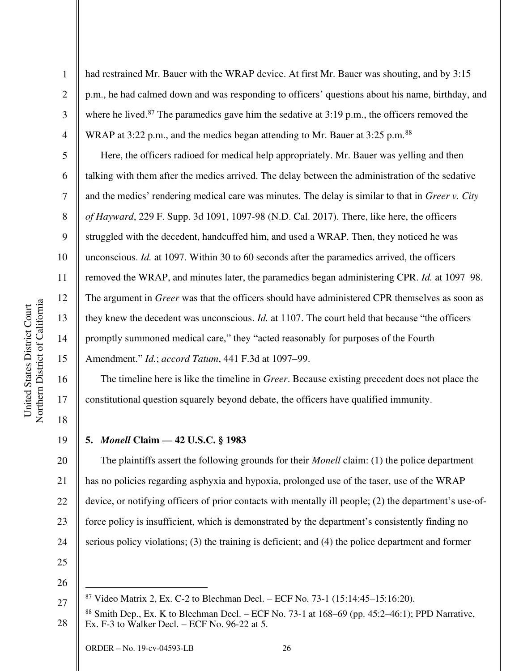2

3

4

5

6

7

8

9

10

11

12

13

14

15

16

17

18

19

had restrained Mr. Bauer with the WRAP device. At first Mr. Bauer was shouting, and by 3:15 p.m., he had calmed down and was responding to officers' questions about his name, birthday, and where he lived.<sup>87</sup> The paramedics gave him the sedative at  $3:19$  p.m., the officers removed the WRAP at 3:22 p.m., and the medics began attending to Mr. Bauer at 3:25 p.m.<sup>88</sup>

Here, the officers radioed for medical help appropriately. Mr. Bauer was yelling and then talking with them after the medics arrived. The delay between the administration of the sedative and the medics' rendering medical care was minutes. The delay is similar to that in *Greer v. City of Hayward*, 229 F. Supp. 3d 1091, 1097-98 (N.D. Cal. 2017). There, like here, the officers struggled with the decedent, handcuffed him, and used a WRAP. Then, they noticed he was unconscious. *Id.* at 1097. Within 30 to 60 seconds after the paramedics arrived, the officers removed the WRAP, and minutes later, the paramedics began administering CPR. *Id.* at 1097–98. The argument in *Greer* was that the officers should have administered CPR themselves as soon as they knew the decedent was unconscious. *Id.* at 1107. The court held that because "the officers promptly summoned medical care," they "acted reasonably for purposes of the Fourth Amendment." *Id.*; *accord Tatum*, 441 F.3d at 1097–99.

The timeline here is like the timeline in *Greer*. Because existing precedent does not place the constitutional question squarely beyond debate, the officers have qualified immunity.

**5.** *Monell* **Claim — 42 U.S.C. § 1983** 

20 21 22 23 24 The plaintiffs assert the following grounds for their *Monell* claim: (1) the police department has no policies regarding asphyxia and hypoxia, prolonged use of the taser, use of the WRAP device, or notifying officers of prior contacts with mentally ill people; (2) the department's use-offorce policy is insufficient, which is demonstrated by the department's consistently finding no serious policy violations; (3) the training is deficient; and (4) the police department and former

25 26

 $87$  Video Matrix 2, Ex. C-2 to Blechman Decl. – ECF No. 73-1 (15:14:45–15:16:20).

<sup>28</sup>  <sup>88</sup> Smith Dep., Ex. K to Blechman Decl. – ECF No. 73-1 at  $168-69$  (pp. 45:2–46:1); PPD Narrative, Ex. F-3 to Walker Decl. – ECF No. 96-22 at 5.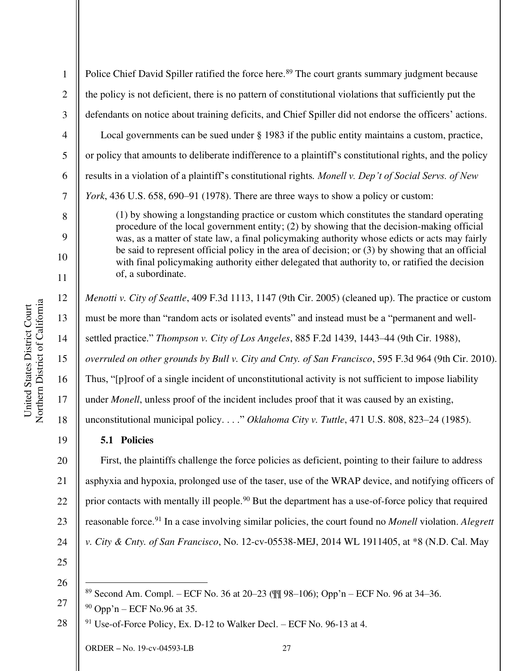2

3

4

5

6

7

8

9

10

11

12

13

15

16

17

18

19

Police Chief David Spiller ratified the force here.<sup>89</sup> The court grants summary judgment because the policy is not deficient, there is no pattern of constitutional violations that sufficiently put the defendants on notice about training deficits, and Chief Spiller did not endorse the officers' actions. Local governments can be sued under § 1983 if the public entity maintains a custom, practice, or policy that amounts to deliberate indifference to a plaintiff's constitutional rights, and the policy results in a violation of a plaintiff's constitutional rights*. Monell v. Dep't of Social Servs. of New York*, 436 U.S. 658, 690–91 (1978). There are three ways to show a policy or custom:

(1) by showing a longstanding practice or custom which constitutes the standard operating procedure of the local government entity; (2) by showing that the decision-making official was, as a matter of state law, a final policymaking authority whose edicts or acts may fairly be said to represent official policy in the area of decision; or (3) by showing that an official with final policymaking authority either delegated that authority to, or ratified the decision of, a subordinate.

*Menotti v. City of Seattle*, 409 F.3d 1113, 1147 (9th Cir. 2005) (cleaned up). The practice or custom

must be more than "random acts or isolated events" and instead must be a "permanent and well-

14 settled practice." *Thompson v. City of Los Angeles*, 885 F.2d 1439, 1443–44 (9th Cir. 1988),

*overruled on other grounds by Bull v. City and Cnty. of San Francisco*, 595 F.3d 964 (9th Cir. 2010).

Thus, "[p]roof of a single incident of unconstitutional activity is not sufficient to impose liability

under *Monell*, unless proof of the incident includes proof that it was caused by an existing,

unconstitutional municipal policy. . . ." *Oklahoma City v. Tuttle*, 471 U.S. 808, 823–24 (1985).

# **5.1 Policies**

20 21 22 23 24 First, the plaintiffs challenge the force policies as deficient, pointing to their failure to address asphyxia and hypoxia, prolonged use of the taser, use of the WRAP device, and notifying officers of prior contacts with mentally ill people.<sup>90</sup> But the department has a use-of-force policy that required reasonable force.<sup>91</sup> In a case involving similar policies, the court found no *Monell* violation. *Alegrett v. City & Cnty. of San Francisco*, No. 12-cv-05538-MEJ, 2014 WL 1911405, at \*8 (N.D. Cal. May

25 26

27

28 <sup>91</sup> Use-of-Force Policy, Ex. D-12 to Walker Decl. *–* ECF No. 96-13 at 4.

<sup>89</sup> Second Am. Compl. – ECF No. 36 at 20–23 (¶¶ 98–106); Opp'n – ECF No. 96 at 34–36.

 $90$  Opp'n – ECF No.96 at 35.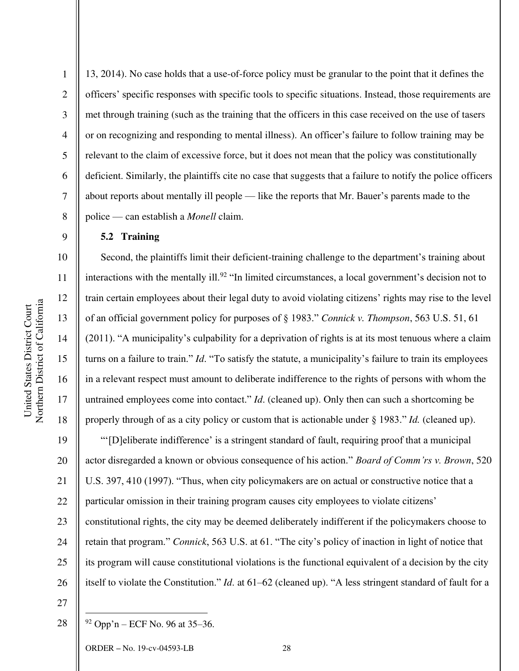2

3

4

5

6

7

8

9

10

11

12

13

14

15

16

17

18

13, 2014). No case holds that a use-of-force policy must be granular to the point that it defines the officers' specific responses with specific tools to specific situations. Instead, those requirements are met through training (such as the training that the officers in this case received on the use of tasers or on recognizing and responding to mental illness). An officer's failure to follow training may be relevant to the claim of excessive force, but it does not mean that the policy was constitutionally deficient. Similarly, the plaintiffs cite no case that suggests that a failure to notify the police officers about reports about mentally ill people — like the reports that Mr. Bauer's parents made to the police — can establish a *Monell* claim.

### **5.2 Training**

Second, the plaintiffs limit their deficient-training challenge to the department's training about interactions with the mentally ill.<sup>92</sup> "In limited circumstances, a local government's decision not to train certain employees about their legal duty to avoid violating citizens' rights may rise to the level of an official government policy for purposes of § 1983." *Connick v. Thompson*, 563 U.S. 51, 61 (2011). "A municipality's culpability for a deprivation of rights is at its most tenuous where a claim turns on a failure to train." *Id*. "To satisfy the statute, a municipality's failure to train its employees in a relevant respect must amount to deliberate indifference to the rights of persons with whom the untrained employees come into contact." *Id*. (cleaned up). Only then can such a shortcoming be properly through of as a city policy or custom that is actionable under § 1983." *Id.* (cleaned up).

19 20 21 22 23 24 25 26 "'[D]eliberate indifference' is a stringent standard of fault, requiring proof that a municipal actor disregarded a known or obvious consequence of his action." *Board of Comm'rs v. Brown*, 520 U.S. 397, 410 (1997). "Thus, when city policymakers are on actual or constructive notice that a particular omission in their training program causes city employees to violate citizens' constitutional rights, the city may be deemed deliberately indifferent if the policymakers choose to retain that program." *Connick*, 563 U.S. at 61. "The city's policy of inaction in light of notice that its program will cause constitutional violations is the functional equivalent of a decision by the city itself to violate the Constitution." *Id*. at 61*–*62 (cleaned up). "A less stringent standard of fault for a

27

28

 $92$  Opp'n – ECF No. 96 at 35–36.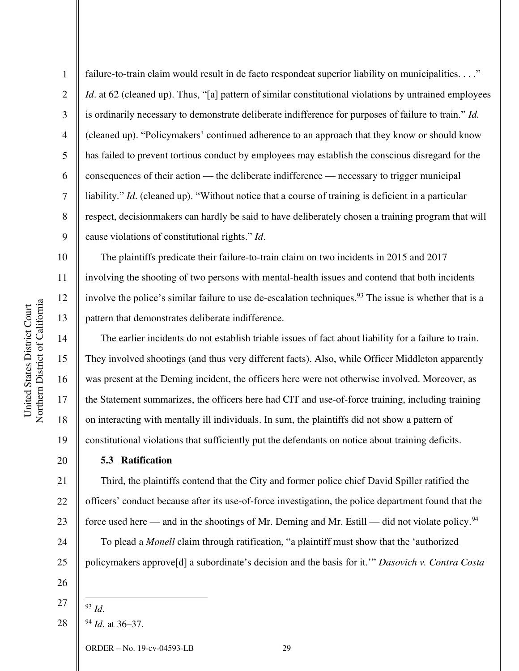2

3

4

5

6

7

failure-to-train claim would result in de facto respondeat superior liability on municipalities. . . ." *Id.* at 62 (cleaned up). Thus, "[a] pattern of similar constitutional violations by untrained employees is ordinarily necessary to demonstrate deliberate indifference for purposes of failure to train." *Id.* (cleaned up). "Policymakers' continued adherence to an approach that they know or should know has failed to prevent tortious conduct by employees may establish the conscious disregard for the consequences of their action — the deliberate indifference — necessary to trigger municipal liability." *Id.* (cleaned up). "Without notice that a course of training is deficient in a particular respect, decisionmakers can hardly be said to have deliberately chosen a training program that will cause violations of constitutional rights." *Id*.

The plaintiffs predicate their failure-to-train claim on two incidents in 2015 and 2017 involving the shooting of two persons with mental-health issues and contend that both incidents involve the police's similar failure to use de-escalation techniques.<sup>93</sup> The issue is whether that is a pattern that demonstrates deliberate indifference.

The earlier incidents do not establish triable issues of fact about liability for a failure to train. They involved shootings (and thus very different facts). Also, while Officer Middleton apparently was present at the Deming incident, the officers here were not otherwise involved. Moreover, as the Statement summarizes, the officers here had CIT and use-of-force training, including training on interacting with mentally ill individuals. In sum, the plaintiffs did not show a pattern of constitutional violations that sufficiently put the defendants on notice about training deficits.

# **5.3 Ratification**

Third, the plaintiffs contend that the City and former police chief David Spiller ratified the officers' conduct because after its use-of-force investigation, the police department found that the force used here — and in the shootings of Mr. Deming and Mr. Estill — did not violate policy.<sup>94</sup> To plead a *Monell* claim through ratification, "a plaintiff must show that the 'authorized policymakers approve[d] a subordinate's decision and the basis for it.'" *Dasovich v. Contra Costa* 

26

18

19

20

21

22

23

24

25

27

28

<sup>94</sup> *Id*. at 36–37.

<sup>93</sup> *Id*.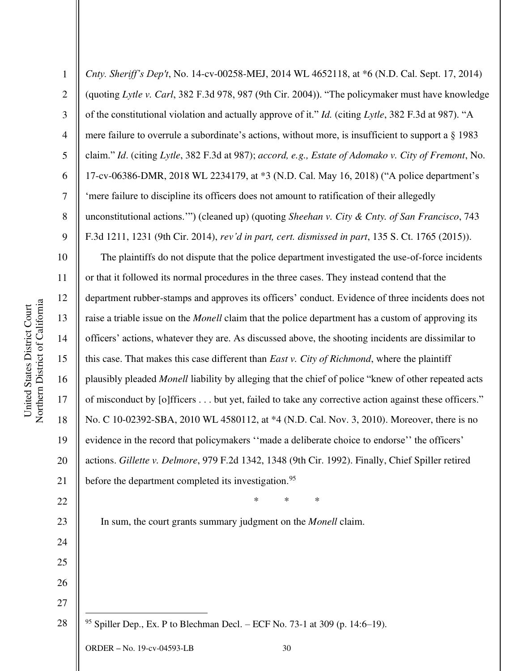ORDER **–** No. 19-cv-04593-LB 30 2 3 4 5 6 7 8 9 10 11 12 13 14 15 16 17 18 19 20 21 22 23 24 25 26 27 28 (quoting *Lytle v. Carl*, 382 F.3d 978, 987 (9th Cir. 2004)). "The policymaker must have knowledge of the constitutional violation and actually approve of it." *Id.* (citing *Lytle*, 382 F.3d at 987). "A mere failure to overrule a subordinate's actions, without more, is insufficient to support a § 1983 claim." *Id*. (citing *Lytle*, 382 F.3d at 987); *accord, e.g., Estate of Adomako v. City of Fremont*, No. 17-cv-06386-DMR, 2018 WL 2234179, at \*3 (N.D. Cal. May 16, 2018) ("A police department's 'mere failure to discipline its officers does not amount to ratification of their allegedly unconstitutional actions.'") (cleaned up) (quoting *Sheehan v. City & Cnty. of San Francisco*, 743 F.3d 1211, 1231 (9th Cir. 2014), *rev'd in part, cert. dismissed in part*, 135 S. Ct. 1765 (2015)). The plaintiffs do not dispute that the police department investigated the use-of-force incidents or that it followed its normal procedures in the three cases. They instead contend that the department rubber-stamps and approves its officers' conduct. Evidence of three incidents does not raise a triable issue on the *Monell* claim that the police department has a custom of approving its officers' actions, whatever they are. As discussed above, the shooting incidents are dissimilar to this case. That makes this case different than *East v. City of Richmond*, where the plaintiff plausibly pleaded *Monell* liability by alleging that the chief of police "knew of other repeated acts of misconduct by [o]fficers . . . but yet, failed to take any corrective action against these officers." No. C 10-02392-SBA, 2010 WL 4580112, at \*4 (N.D. Cal. Nov. 3, 2010). Moreover, there is no evidence in the record that policymakers ''made a deliberate choice to endorse'' the officers' actions. *Gillette v. Delmore*, 979 F.2d 1342, 1348 (9th Cir. 1992). Finally, Chief Spiller retired before the department completed its investigation.<sup>95</sup> \* \* \* In sum, the court grants summary judgment on the *Monell* claim. <sup>95</sup> Spiller Dep., Ex. P to Blechman Decl. – ECF No. 73-1 at 309 (p. 14:6–19).

*Cnty. Sheriff's Dep't*, No. 14-cv-00258-MEJ, 2014 WL 4652118, at \*6 (N.D. Cal. Sept. 17, 2014)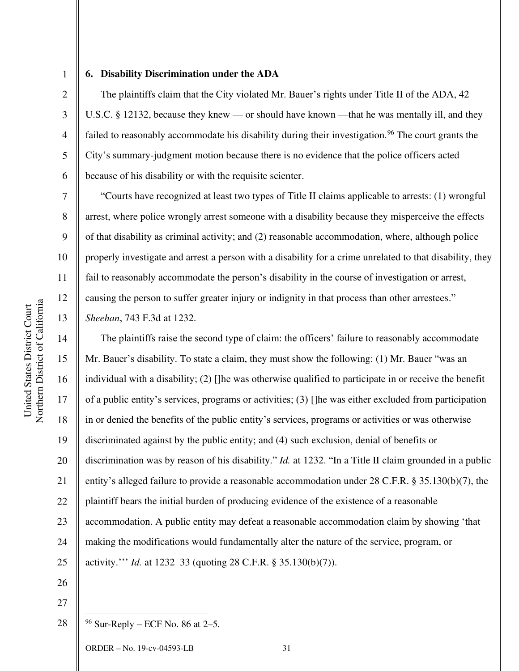3

4

5

6

7

8

9

10

11

12

13

14

15

17

18

19

21

22

23

24

25

1

#### **6. Disability Discrimination under the ADA**

The plaintiffs claim that the City violated Mr. Bauer's rights under Title II of the ADA, 42 U.S.C. § 12132, because they knew — or should have known —that he was mentally ill, and they failed to reasonably accommodate his disability during their investigation.<sup>96</sup> The court grants the City's summary-judgment motion because there is no evidence that the police officers acted because of his disability or with the requisite scienter.

"Courts have recognized at least two types of Title II claims applicable to arrests: (1) wrongful arrest, where police wrongly arrest someone with a disability because they misperceive the effects of that disability as criminal activity; and (2) reasonable accommodation, where, although police properly investigate and arrest a person with a disability for a crime unrelated to that disability, they fail to reasonably accommodate the person's disability in the course of investigation or arrest, causing the person to suffer greater injury or indignity in that process than other arrestees." *Sheehan*, 743 F.3d at 1232.

16 20 The plaintiffs raise the second type of claim: the officers' failure to reasonably accommodate Mr. Bauer's disability. To state a claim, they must show the following: (1) Mr. Bauer "was an individual with a disability; (2) []he was otherwise qualified to participate in or receive the benefit of a public entity's services, programs or activities; (3) []he was either excluded from participation in or denied the benefits of the public entity's services, programs or activities or was otherwise discriminated against by the public entity; and (4) such exclusion, denial of benefits or discrimination was by reason of his disability." *Id.* at 1232. "In a Title II claim grounded in a public entity's alleged failure to provide a reasonable accommodation under 28 C.F.R. § 35.130(b)(7), the plaintiff bears the initial burden of producing evidence of the existence of a reasonable accommodation. A public entity may defeat a reasonable accommodation claim by showing 'that making the modifications would fundamentally alter the nature of the service, program, or activity.''' *Id.* at 1232–33 (quoting 28 C.F.R. § 35.130(b)(7)).

- 26 27
- 28  $96$  Sur-Reply – ECF No. 86 at 2–5.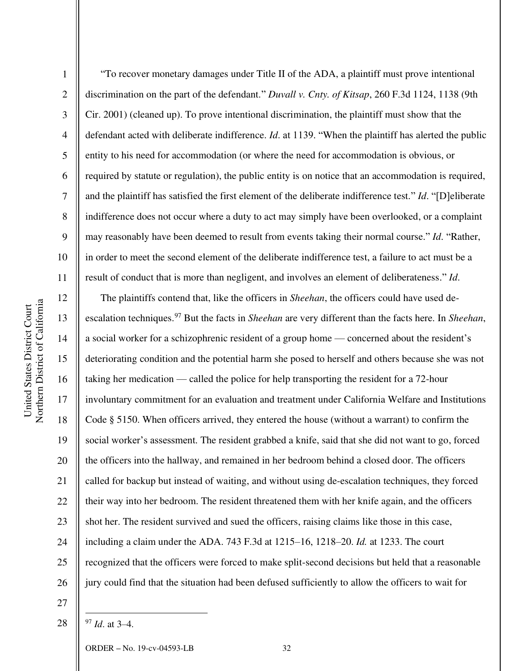2

3

4

5

6

7

8

9

10

11

"To recover monetary damages under Title II of the ADA, a plaintiff must prove intentional discrimination on the part of the defendant." *Duvall v. Cnty. of Kitsap*, 260 F.3d 1124, 1138 (9th Cir. 2001) (cleaned up). To prove intentional discrimination, the plaintiff must show that the defendant acted with deliberate indifference. *Id*. at 1139. "When the plaintiff has alerted the public entity to his need for accommodation (or where the need for accommodation is obvious, or required by statute or regulation), the public entity is on notice that an accommodation is required, and the plaintiff has satisfied the first element of the deliberate indifference test." *Id*. "[D]eliberate indifference does not occur where a duty to act may simply have been overlooked, or a complaint may reasonably have been deemed to result from events taking their normal course." *Id*. "Rather, in order to meet the second element of the deliberate indifference test, a failure to act must be a result of conduct that is more than negligent, and involves an element of deliberateness." *Id*.

12 13 14 15 16 17 18 19 20 21 22 23 24 25 26 The plaintiffs contend that, like the officers in *Sheehan*, the officers could have used deescalation techniques.<sup>97</sup> But the facts in *Sheehan* are very different than the facts here. In *Sheehan*, a social worker for a schizophrenic resident of a group home — concerned about the resident's deteriorating condition and the potential harm she posed to herself and others because she was not taking her medication — called the police for help transporting the resident for a 72-hour involuntary commitment for an evaluation and treatment under California Welfare and Institutions Code § 5150. When officers arrived, they entered the house (without a warrant) to confirm the social worker's assessment. The resident grabbed a knife, said that she did not want to go, forced the officers into the hallway, and remained in her bedroom behind a closed door. The officers called for backup but instead of waiting, and without using de-escalation techniques, they forced their way into her bedroom. The resident threatened them with her knife again, and the officers shot her. The resident survived and sued the officers, raising claims like those in this case, including a claim under the ADA. 743 F.3d at 1215–16, 1218–20. *Id.* at 1233. The court recognized that the officers were forced to make split-second decisions but held that a reasonable jury could find that the situation had been defused sufficiently to allow the officers to wait for

27

28

<sup>97</sup> *Id*. at 3–4.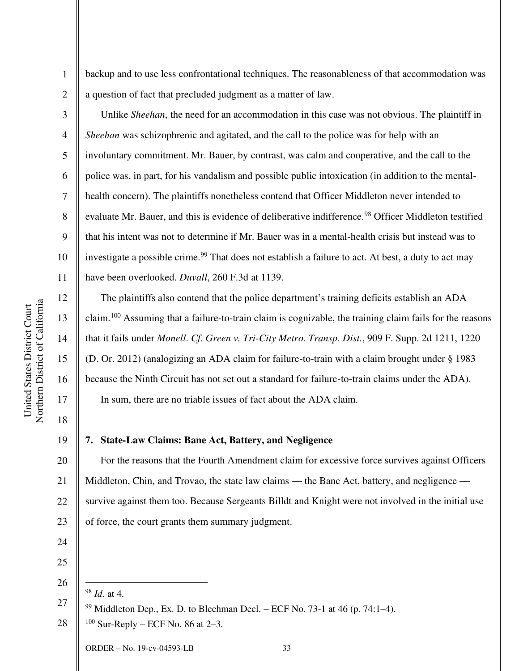Northern District of California Northern District of California United States District Court United States District Court

1

2

3

4

5

6

7

8

9

10

11

12

13

14

15

16

17

18

19

backup and to use less confrontational techniques. The reasonableness of that accommodation was a question of fact that precluded judgment as a matter of law.

Unlike *Sheehan*, the need for an accommodation in this case was not obvious. The plaintiff in *Sheehan* was schizophrenic and agitated, and the call to the police was for help with an involuntary commitment. Mr. Bauer, by contrast, was calm and cooperative, and the call to the police was, in part, for his vandalism and possible public intoxication (in addition to the mentalhealth concern). The plaintiffs nonetheless contend that Officer Middleton never intended to evaluate Mr. Bauer, and this is evidence of deliberative indifference.<sup>98</sup> Officer Middleton testified that his intent was not to determine if Mr. Bauer was in a mental-health crisis but instead was to investigate a possible crime.<sup>99</sup> That does not establish a failure to act. At best, a duty to act may have been overlooked. *Duvall*, 260 F.3d at 1139.

The plaintiffs also contend that the police department's training deficits establish an ADA claim.<sup>100</sup> Assuming that a failure-to-train claim is cognizable, the training claim fails for the reasons that it fails under *Monell*. *Cf. Green v. Tri-City Metro. Transp. Dist.*, 909 F. Supp. 2d 1211, 1220 (D. Or. 2012) (analogizing an ADA claim for failure-to-train with a claim brought under § 1983 because the Ninth Circuit has not set out a standard for failure-to-train claims under the ADA). In sum, there are no triable issues of fact about the ADA claim.

**7. State-Law Claims: Bane Act, Battery, and Negligence** 

20 21 22 23 For the reasons that the Fourth Amendment claim for excessive force survives against Officers Middleton, Chin, and Trovao, the state law claims — the Bane Act, battery, and negligence survive against them too. Because Sergeants Billdt and Knight were not involved in the initial use of force, the court grants them summary judgment.

24

25 26

<sup>98</sup> *Id*. at 4.

28  $100$  Sur-Reply – ECF No. 86 at 2–3.

<sup>27</sup>   $99$  Middleton Dep., Ex. D. to Blechman Decl. – ECF No. 73-1 at 46 (p. 74:1–4).